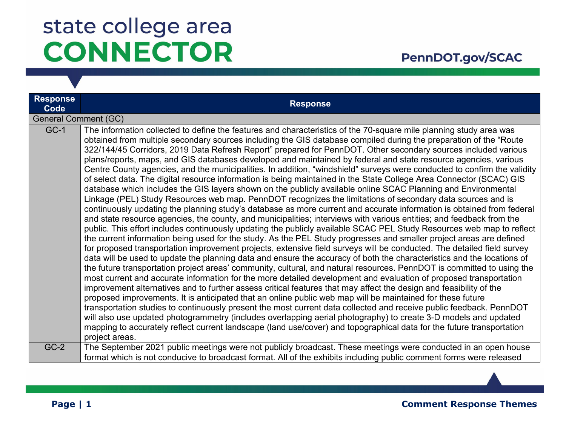#### PennDOT.gov/SCAC

| <b>Response</b><br>Code     | <b>Response</b>                                                                                                                                                                                                                                                                                                                                                                                                                                                                                                                                                                                                                                                                                                                                                                                                                                                                                                                                                                                                                                                                                                                                                                                                                                                                                                                                                                                                                                                                                                                                                                                                                                                                                                                                                                                                                                                                                                                                                                                                                                                                                                                                                                                                                                                                                                                                                                                                                                                                                                                                                                             |
|-----------------------------|---------------------------------------------------------------------------------------------------------------------------------------------------------------------------------------------------------------------------------------------------------------------------------------------------------------------------------------------------------------------------------------------------------------------------------------------------------------------------------------------------------------------------------------------------------------------------------------------------------------------------------------------------------------------------------------------------------------------------------------------------------------------------------------------------------------------------------------------------------------------------------------------------------------------------------------------------------------------------------------------------------------------------------------------------------------------------------------------------------------------------------------------------------------------------------------------------------------------------------------------------------------------------------------------------------------------------------------------------------------------------------------------------------------------------------------------------------------------------------------------------------------------------------------------------------------------------------------------------------------------------------------------------------------------------------------------------------------------------------------------------------------------------------------------------------------------------------------------------------------------------------------------------------------------------------------------------------------------------------------------------------------------------------------------------------------------------------------------------------------------------------------------------------------------------------------------------------------------------------------------------------------------------------------------------------------------------------------------------------------------------------------------------------------------------------------------------------------------------------------------------------------------------------------------------------------------------------------------|
| <b>General Comment (GC)</b> |                                                                                                                                                                                                                                                                                                                                                                                                                                                                                                                                                                                                                                                                                                                                                                                                                                                                                                                                                                                                                                                                                                                                                                                                                                                                                                                                                                                                                                                                                                                                                                                                                                                                                                                                                                                                                                                                                                                                                                                                                                                                                                                                                                                                                                                                                                                                                                                                                                                                                                                                                                                             |
| $GC-1$                      | The information collected to define the features and characteristics of the 70-square mile planning study area was<br>obtained from multiple secondary sources including the GIS database compiled during the preparation of the "Route<br>322/144/45 Corridors, 2019 Data Refresh Report" prepared for PennDOT. Other secondary sources included various<br>plans/reports, maps, and GIS databases developed and maintained by federal and state resource agencies, various<br>Centre County agencies, and the municipalities. In addition, "windshield" surveys were conducted to confirm the validity<br>of select data. The digital resource information is being maintained in the State College Area Connector (SCAC) GIS<br>database which includes the GIS layers shown on the publicly available online SCAC Planning and Environmental<br>Linkage (PEL) Study Resources web map. PennDOT recognizes the limitations of secondary data sources and is<br>continuously updating the planning study's database as more current and accurate information is obtained from federal<br>and state resource agencies, the county, and municipalities; interviews with various entities; and feedback from the<br>public. This effort includes continuously updating the publicly available SCAC PEL Study Resources web map to reflect<br>the current information being used for the study. As the PEL Study progresses and smaller project areas are defined<br>for proposed transportation improvement projects, extensive field surveys will be conducted. The detailed field survey<br>data will be used to update the planning data and ensure the accuracy of both the characteristics and the locations of<br>the future transportation project areas' community, cultural, and natural resources. PennDOT is committed to using the<br>most current and accurate information for the more detailed development and evaluation of proposed transportation<br>improvement alternatives and to further assess critical features that may affect the design and feasibility of the<br>proposed improvements. It is anticipated that an online public web map will be maintained for these future<br>transportation studies to continuously present the most current data collected and receive public feedback. PennDOT<br>will also use updated photogrammetry (includes overlapping aerial photography) to create 3-D models and updated<br>mapping to accurately reflect current landscape (land use/cover) and topographical data for the future transportation<br>project areas. |
| $GC-2$                      | The September 2021 public meetings were not publicly broadcast. These meetings were conducted in an open house<br>format which is not conducive to broadcast format. All of the exhibits including public comment forms were released                                                                                                                                                                                                                                                                                                                                                                                                                                                                                                                                                                                                                                                                                                                                                                                                                                                                                                                                                                                                                                                                                                                                                                                                                                                                                                                                                                                                                                                                                                                                                                                                                                                                                                                                                                                                                                                                                                                                                                                                                                                                                                                                                                                                                                                                                                                                                       |

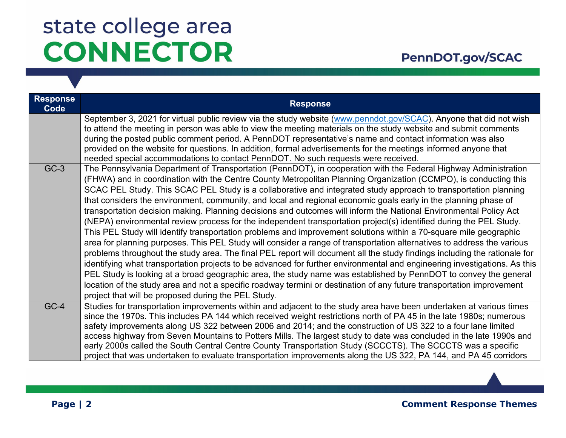| <b>Response</b><br>Code | <b>Response</b>                                                                                                                                                                                                                                                                                                                                                                                                                                                                                                                                                                                                                                                                                                                                                                                                                                                                                                                                                                                                                                                                                                                                                                                                                                                                                                                                                                                                                                                                                                                   |
|-------------------------|-----------------------------------------------------------------------------------------------------------------------------------------------------------------------------------------------------------------------------------------------------------------------------------------------------------------------------------------------------------------------------------------------------------------------------------------------------------------------------------------------------------------------------------------------------------------------------------------------------------------------------------------------------------------------------------------------------------------------------------------------------------------------------------------------------------------------------------------------------------------------------------------------------------------------------------------------------------------------------------------------------------------------------------------------------------------------------------------------------------------------------------------------------------------------------------------------------------------------------------------------------------------------------------------------------------------------------------------------------------------------------------------------------------------------------------------------------------------------------------------------------------------------------------|
|                         | September 3, 2021 for virtual public review via the study website (www.penndot.gov/SCAC). Anyone that did not wish<br>to attend the meeting in person was able to view the meeting materials on the study website and submit comments<br>during the posted public comment period. A PennDOT representative's name and contact information was also<br>provided on the website for questions. In addition, formal advertisements for the meetings informed anyone that<br>needed special accommodations to contact PennDOT. No such requests were received.                                                                                                                                                                                                                                                                                                                                                                                                                                                                                                                                                                                                                                                                                                                                                                                                                                                                                                                                                                        |
| $GC-3$                  | The Pennsylvania Department of Transportation (PennDOT), in cooperation with the Federal Highway Administration<br>(FHWA) and in coordination with the Centre County Metropolitan Planning Organization (CCMPO), is conducting this<br>SCAC PEL Study. This SCAC PEL Study is a collaborative and integrated study approach to transportation planning<br>that considers the environment, community, and local and regional economic goals early in the planning phase of<br>transportation decision making. Planning decisions and outcomes will inform the National Environmental Policy Act<br>(NEPA) environmental review process for the independent transportation project(s) identified during the PEL Study.<br>This PEL Study will identify transportation problems and improvement solutions within a 70-square mile geographic<br>area for planning purposes. This PEL Study will consider a range of transportation alternatives to address the various<br>problems throughout the study area. The final PEL report will document all the study findings including the rationale for<br>identifying what transportation projects to be advanced for further environmental and engineering investigations. As this<br>PEL Study is looking at a broad geographic area, the study name was established by PennDOT to convey the general<br>location of the study area and not a specific roadway termini or destination of any future transportation improvement<br>project that will be proposed during the PEL Study. |
| $GC-4$                  | Studies for transportation improvements within and adjacent to the study area have been undertaken at various times<br>since the 1970s. This includes PA 144 which received weight restrictions north of PA 45 in the late 1980s; numerous<br>safety improvements along US 322 between 2006 and 2014; and the construction of US 322 to a four lane limited<br>access highway from Seven Mountains to Potters Mills. The largest study to date was concluded in the late 1990s and<br>early 2000s called the South Central Centre County Transportation Study (SCCCTS). The SCCCTS was a specific<br>project that was undertaken to evaluate transportation improvements along the US 322, PA 144, and PA 45 corridors                                                                                                                                                                                                                                                                                                                                                                                                                                                                                                                                                                                                                                                                                                                                                                                                            |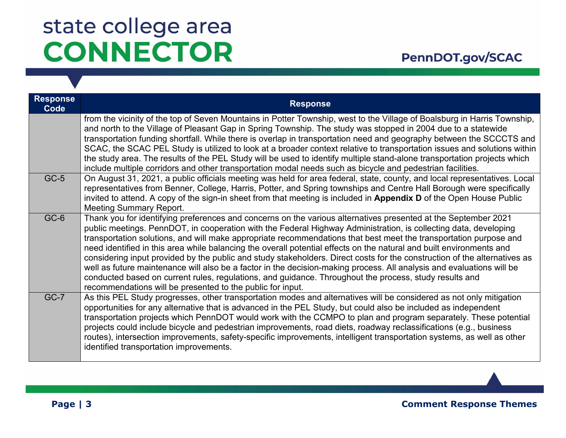| <b>Response</b><br>Code | <b>Response</b>                                                                                                                                                                                                                                                                                                                                                                                                                                                                                                                                                                                                                                                                                                                                                                                                                                                                                               |
|-------------------------|---------------------------------------------------------------------------------------------------------------------------------------------------------------------------------------------------------------------------------------------------------------------------------------------------------------------------------------------------------------------------------------------------------------------------------------------------------------------------------------------------------------------------------------------------------------------------------------------------------------------------------------------------------------------------------------------------------------------------------------------------------------------------------------------------------------------------------------------------------------------------------------------------------------|
|                         | from the vicinity of the top of Seven Mountains in Potter Township, west to the Village of Boalsburg in Harris Township,<br>and north to the Village of Pleasant Gap in Spring Township. The study was stopped in 2004 due to a statewide<br>transportation funding shortfall. While there is overlap in transportation need and geography between the SCCCTS and<br>SCAC, the SCAC PEL Study is utilized to look at a broader context relative to transportation issues and solutions within<br>the study area. The results of the PEL Study will be used to identify multiple stand-alone transportation projects which<br>include multiple corridors and other transportation modal needs such as bicycle and pedestrian facilities.                                                                                                                                                                       |
| $GC-5$                  | On August 31, 2021, a public officials meeting was held for area federal, state, county, and local representatives. Local<br>representatives from Benner, College, Harris, Potter, and Spring townships and Centre Hall Borough were specifically<br>invited to attend. A copy of the sign-in sheet from that meeting is included in Appendix D of the Open House Public<br><b>Meeting Summary Report.</b>                                                                                                                                                                                                                                                                                                                                                                                                                                                                                                    |
| GC-6                    | Thank you for identifying preferences and concerns on the various alternatives presented at the September 2021<br>public meetings. PennDOT, in cooperation with the Federal Highway Administration, is collecting data, developing<br>transportation solutions, and will make appropriate recommendations that best meet the transportation purpose and<br>need identified in this area while balancing the overall potential effects on the natural and built environments and<br>considering input provided by the public and study stakeholders. Direct costs for the construction of the alternatives as<br>well as future maintenance will also be a factor in the decision-making process. All analysis and evaluations will be<br>conducted based on current rules, regulations, and guidance. Throughout the process, study results and<br>recommendations will be presented to the public for input. |
| $GC-7$                  | As this PEL Study progresses, other transportation modes and alternatives will be considered as not only mitigation<br>opportunities for any alternative that is advanced in the PEL Study, but could also be included as independent<br>transportation projects which PennDOT would work with the CCMPO to plan and program separately. These potential<br>projects could include bicycle and pedestrian improvements, road diets, roadway reclassifications (e.g., business<br>routes), intersection improvements, safety-specific improvements, intelligent transportation systems, as well as other<br>identified transportation improvements.                                                                                                                                                                                                                                                            |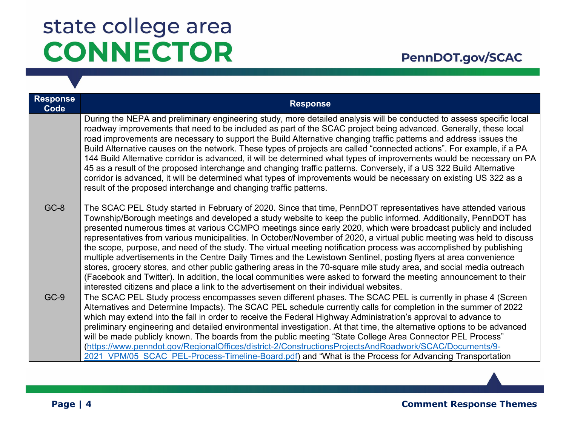| <b>Response</b><br>Code | <b>Response</b>                                                                                                                                                                                                                                                                                                                                                                                                                                                                                                                                                                                                                                                                                                                                                                                                                                                                                                                                                                                                                                                  |
|-------------------------|------------------------------------------------------------------------------------------------------------------------------------------------------------------------------------------------------------------------------------------------------------------------------------------------------------------------------------------------------------------------------------------------------------------------------------------------------------------------------------------------------------------------------------------------------------------------------------------------------------------------------------------------------------------------------------------------------------------------------------------------------------------------------------------------------------------------------------------------------------------------------------------------------------------------------------------------------------------------------------------------------------------------------------------------------------------|
|                         | During the NEPA and preliminary engineering study, more detailed analysis will be conducted to assess specific local<br>roadway improvements that need to be included as part of the SCAC project being advanced. Generally, these local<br>road improvements are necessary to support the Build Alternative changing traffic patterns and address issues the<br>Build Alternative causes on the network. These types of projects are called "connected actions". For example, if a PA<br>144 Build Alternative corridor is advanced, it will be determined what types of improvements would be necessary on PA<br>45 as a result of the proposed interchange and changing traffic patterns. Conversely, if a US 322 Build Alternative<br>corridor is advanced, it will be determined what types of improvements would be necessary on existing US 322 as a<br>result of the proposed interchange and changing traffic patterns.                                                                                                                                 |
| GC-8                    | The SCAC PEL Study started in February of 2020. Since that time, PennDOT representatives have attended various<br>Township/Borough meetings and developed a study website to keep the public informed. Additionally, PennDOT has<br>presented numerous times at various CCMPO meetings since early 2020, which were broadcast publicly and included<br>representatives from various municipalities. In October/November of 2020, a virtual public meeting was held to discuss<br>the scope, purpose, and need of the study. The virtual meeting notification process was accomplished by publishing<br>multiple advertisements in the Centre Daily Times and the Lewistown Sentinel, posting flyers at area convenience<br>stores, grocery stores, and other public gathering areas in the 70-square mile study area, and social media outreach<br>(Facebook and Twitter). In addition, the local communities were asked to forward the meeting announcement to their<br>interested citizens and place a link to the advertisement on their individual websites. |
| $GC-9$                  | The SCAC PEL Study process encompasses seven different phases. The SCAC PEL is currently in phase 4 (Screen<br>Alternatives and Determine Impacts). The SCAC PEL schedule currently calls for completion in the summer of 2022<br>which may extend into the fall in order to receive the Federal Highway Administration's approval to advance to<br>preliminary engineering and detailed environmental investigation. At that time, the alternative options to be advanced<br>will be made publicly known. The boards from the public meeting "State College Area Connector PEL Process"<br>(https://www.penndot.gov/RegionalOffices/district-2/ConstructionsProjectsAndRoadwork/SCAC/Documents/9-<br>2021 VPM/05 SCAC PEL-Process-Timeline-Board.pdf) and "What is the Process for Advancing Transportation                                                                                                                                                                                                                                                     |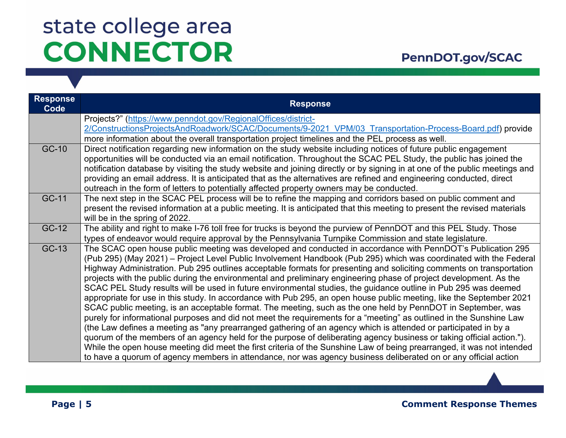#### PennDOT.gov/SCAC

| <b>Response</b><br>Code | <b>Response</b>                                                                                                             |
|-------------------------|-----------------------------------------------------------------------------------------------------------------------------|
|                         | Projects?" (https://www.penndot.gov/RegionalOffices/district-                                                               |
|                         | 2/ConstructionsProjectsAndRoadwork/SCAC/Documents/9-2021 VPM/03 Transportation-Process-Board.pdf) provide                   |
|                         | more information about the overall transportation project timelines and the PEL process as well.                            |
| GC-10                   | Direct notification regarding new information on the study website including notices of future public engagement            |
|                         | opportunities will be conducted via an email notification. Throughout the SCAC PEL Study, the public has joined the         |
|                         | notification database by visiting the study website and joining directly or by signing in at one of the public meetings and |
|                         | providing an email address. It is anticipated that as the alternatives are refined and engineering conducted, direct        |
|                         | outreach in the form of letters to potentially affected property owners may be conducted.                                   |
| GC-11                   | The next step in the SCAC PEL process will be to refine the mapping and corridors based on public comment and               |
|                         | present the revised information at a public meeting. It is anticipated that this meeting to present the revised materials   |
|                         | will be in the spring of 2022.                                                                                              |
| GC-12                   | The ability and right to make I-76 toll free for trucks is beyond the purview of PennDOT and this PEL Study. Those          |
|                         | types of endeavor would require approval by the Pennsylvania Turnpike Commission and state legislature.                     |
| GC-13                   | The SCAC open house public meeting was developed and conducted in accordance with PennDOT's Publication 295                 |
|                         | (Pub 295) (May 2021) – Project Level Public Involvement Handbook (Pub 295) which was coordinated with the Federal           |
|                         | Highway Administration. Pub 295 outlines acceptable formats for presenting and soliciting comments on transportation        |
|                         | projects with the public during the environmental and preliminary engineering phase of project development. As the          |
|                         | SCAC PEL Study results will be used in future environmental studies, the guidance outline in Pub 295 was deemed             |
|                         | appropriate for use in this study. In accordance with Pub 295, an open house public meeting, like the September 2021        |
|                         | SCAC public meeting, is an acceptable format. The meeting, such as the one held by PennDOT in September, was                |
|                         | purely for informational purposes and did not meet the requirements for a "meeting" as outlined in the Sunshine Law         |
|                         | (the Law defines a meeting as "any prearranged gathering of an agency which is attended or participated in by a             |
|                         | quorum of the members of an agency held for the purpose of deliberating agency business or taking official action.").       |
|                         | While the open house meeting did meet the first criteria of the Sunshine Law of being prearranged, it was not intended      |
|                         | to have a quorum of agency members in attendance, nor was agency business deliberated on or any official action             |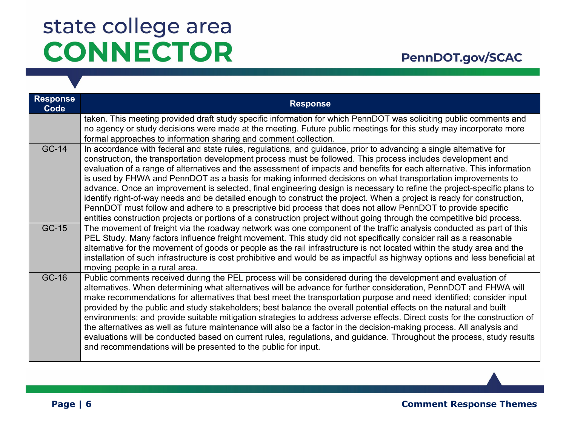### PennDOT.gov/SCAC

| <b>Response</b><br>Code | <b>Response</b>                                                                                                                                                                                                                                                                                                                                                                                                                                                                                                                                                                                                                                                                                                                                                                                                                                                                                                                                                              |
|-------------------------|------------------------------------------------------------------------------------------------------------------------------------------------------------------------------------------------------------------------------------------------------------------------------------------------------------------------------------------------------------------------------------------------------------------------------------------------------------------------------------------------------------------------------------------------------------------------------------------------------------------------------------------------------------------------------------------------------------------------------------------------------------------------------------------------------------------------------------------------------------------------------------------------------------------------------------------------------------------------------|
|                         | taken. This meeting provided draft study specific information for which PennDOT was soliciting public comments and<br>no agency or study decisions were made at the meeting. Future public meetings for this study may incorporate more<br>formal approaches to information sharing and comment collection.                                                                                                                                                                                                                                                                                                                                                                                                                                                                                                                                                                                                                                                                  |
| GC-14                   | In accordance with federal and state rules, regulations, and guidance, prior to advancing a single alternative for<br>construction, the transportation development process must be followed. This process includes development and<br>evaluation of a range of alternatives and the assessment of impacts and benefits for each alternative. This information<br>is used by FHWA and PennDOT as a basis for making informed decisions on what transportation improvements to<br>advance. Once an improvement is selected, final engineering design is necessary to refine the project-specific plans to<br>identify right-of-way needs and be detailed enough to construct the project. When a project is ready for construction,<br>PennDOT must follow and adhere to a prescriptive bid process that does not allow PennDOT to provide specific<br>entities construction projects or portions of a construction project without going through the competitive bid process. |
| GC-15                   | The movement of freight via the roadway network was one component of the traffic analysis conducted as part of this<br>PEL Study. Many factors influence freight movement. This study did not specifically consider rail as a reasonable<br>alternative for the movement of goods or people as the rail infrastructure is not located within the study area and the<br>installation of such infrastructure is cost prohibitive and would be as impactful as highway options and less beneficial at<br>moving people in a rural area.                                                                                                                                                                                                                                                                                                                                                                                                                                         |
| GC-16                   | Public comments received during the PEL process will be considered during the development and evaluation of<br>alternatives. When determining what alternatives will be advance for further consideration, PennDOT and FHWA will<br>make recommendations for alternatives that best meet the transportation purpose and need identified; consider input<br>provided by the public and study stakeholders; best balance the overall potential effects on the natural and built<br>environments; and provide suitable mitigation strategies to address adverse effects. Direct costs for the construction of<br>the alternatives as well as future maintenance will also be a factor in the decision-making process. All analysis and<br>evaluations will be conducted based on current rules, regulations, and guidance. Throughout the process, study results<br>and recommendations will be presented to the public for input.                                              |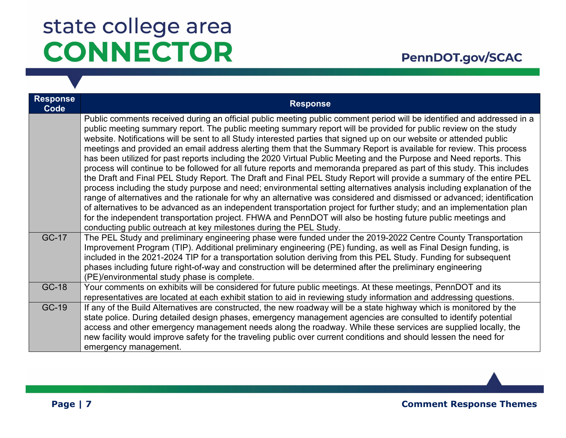| <b>Response</b><br>Code | <b>Response</b>                                                                                                                                                                                                                                                                                                                                                                                                                                                                                                                                                                                                                                                                                                                                                                                                                                                                                                                                                                                                                                                                                                                                                                                                                                                                                                                                                                                                                       |
|-------------------------|---------------------------------------------------------------------------------------------------------------------------------------------------------------------------------------------------------------------------------------------------------------------------------------------------------------------------------------------------------------------------------------------------------------------------------------------------------------------------------------------------------------------------------------------------------------------------------------------------------------------------------------------------------------------------------------------------------------------------------------------------------------------------------------------------------------------------------------------------------------------------------------------------------------------------------------------------------------------------------------------------------------------------------------------------------------------------------------------------------------------------------------------------------------------------------------------------------------------------------------------------------------------------------------------------------------------------------------------------------------------------------------------------------------------------------------|
|                         | Public comments received during an official public meeting public comment period will be identified and addressed in a<br>public meeting summary report. The public meeting summary report will be provided for public review on the study<br>website. Notifications will be sent to all Study interested parties that signed up on our website or attended public<br>meetings and provided an email address alerting them that the Summary Report is available for review. This process<br>has been utilized for past reports including the 2020 Virtual Public Meeting and the Purpose and Need reports. This<br>process will continue to be followed for all future reports and memoranda prepared as part of this study. This includes<br>the Draft and Final PEL Study Report. The Draft and Final PEL Study Report will provide a summary of the entire PEL<br>process including the study purpose and need; environmental setting alternatives analysis including explanation of the<br>range of alternatives and the rationale for why an alternative was considered and dismissed or advanced; identification<br>of alternatives to be advanced as an independent transportation project for further study; and an implementation plan<br>for the independent transportation project. FHWA and PennDOT will also be hosting future public meetings and<br>conducting public outreach at key milestones during the PEL Study. |
| GC-17                   | The PEL Study and preliminary engineering phase were funded under the 2019-2022 Centre County Transportation<br>Improvement Program (TIP). Additional preliminary engineering (PE) funding, as well as Final Design funding, is<br>included in the 2021-2024 TIP for a transportation solution deriving from this PEL Study. Funding for subsequent<br>phases including future right-of-way and construction will be determined after the preliminary engineering<br>(PE)/environmental study phase is complete.                                                                                                                                                                                                                                                                                                                                                                                                                                                                                                                                                                                                                                                                                                                                                                                                                                                                                                                      |
| GC-18                   | Your comments on exhibits will be considered for future public meetings. At these meetings, PennDOT and its<br>representatives are located at each exhibit station to aid in reviewing study information and addressing questions.                                                                                                                                                                                                                                                                                                                                                                                                                                                                                                                                                                                                                                                                                                                                                                                                                                                                                                                                                                                                                                                                                                                                                                                                    |
| GC-19                   | If any of the Build Alternatives are constructed, the new roadway will be a state highway which is monitored by the<br>state police. During detailed design phases, emergency management agencies are consulted to identify potential<br>access and other emergency management needs along the roadway. While these services are supplied locally, the<br>new facility would improve safety for the traveling public over current conditions and should lessen the need for<br>emergency management.                                                                                                                                                                                                                                                                                                                                                                                                                                                                                                                                                                                                                                                                                                                                                                                                                                                                                                                                  |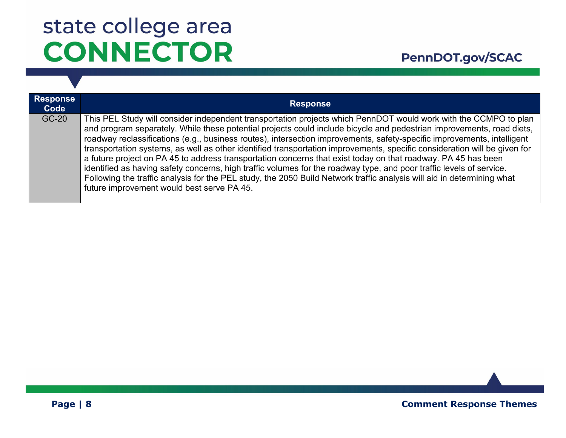| <b>Response</b><br>Code | <b>Response</b>                                                                                                                                                                                                                                                                                                                                                                                                                                                                                                                                                                                                                                                                                                                                                                                                                                                                                                    |
|-------------------------|--------------------------------------------------------------------------------------------------------------------------------------------------------------------------------------------------------------------------------------------------------------------------------------------------------------------------------------------------------------------------------------------------------------------------------------------------------------------------------------------------------------------------------------------------------------------------------------------------------------------------------------------------------------------------------------------------------------------------------------------------------------------------------------------------------------------------------------------------------------------------------------------------------------------|
| GC-20                   | This PEL Study will consider independent transportation projects which PennDOT would work with the CCMPO to plan<br>and program separately. While these potential projects could include bicycle and pedestrian improvements, road diets,<br>roadway reclassifications (e.g., business routes), intersection improvements, safety-specific improvements, intelligent<br>transportation systems, as well as other identified transportation improvements, specific consideration will be given for<br>a future project on PA 45 to address transportation concerns that exist today on that roadway. PA 45 has been<br>identified as having safety concerns, high traffic volumes for the roadway type, and poor traffic levels of service.<br>Following the traffic analysis for the PEL study, the 2050 Build Network traffic analysis will aid in determining what<br>future improvement would best serve PA 45. |

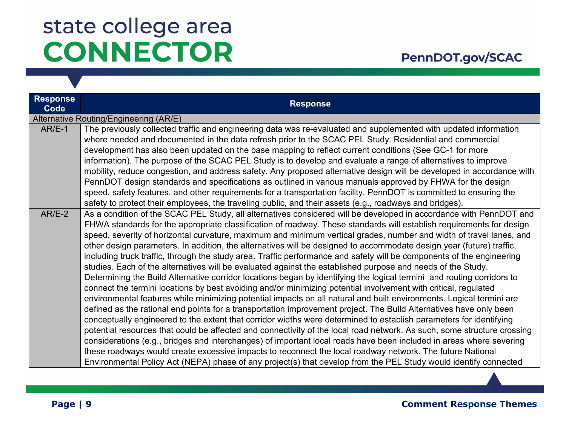### PennDOT.gov/SCAC

| <b>Response</b><br>Code | <b>Response</b>                                                                                                         |
|-------------------------|-------------------------------------------------------------------------------------------------------------------------|
|                         | Alternative Routing/Engineering (AR/E)                                                                                  |
| $AR/E-1$                | The previously collected traffic and engineering data was re-evaluated and supplemented with updated information        |
|                         | where needed and documented in the data refresh prior to the SCAC PEL Study. Residential and commercial                 |
|                         | development has also been updated on the base mapping to reflect current conditions (See GC-1 for more                  |
|                         | information). The purpose of the SCAC PEL Study is to develop and evaluate a range of alternatives to improve           |
|                         | mobility, reduce congestion, and address safety. Any proposed alternative design will be developed in accordance with   |
|                         | PennDOT design standards and specifications as outlined in various manuals approved by FHWA for the design              |
|                         | speed, safety features, and other requirements for a transportation facility. PennDOT is committed to ensuring the      |
|                         | safety to protect their employees, the traveling public, and their assets (e.g., roadways and bridges).                 |
| $AR/E-2$                | As a condition of the SCAC PEL Study, all alternatives considered will be developed in accordance with PennDOT and      |
|                         | FHWA standards for the appropriate classification of roadway. These standards will establish requirements for design    |
|                         | speed, severity of horizontal curvature, maximum and minimum vertical grades, number and width of travel lanes, and     |
|                         | other design parameters. In addition, the alternatives will be designed to accommodate design year (future) traffic,    |
|                         | including truck traffic, through the study area. Traffic performance and safety will be components of the engineering   |
|                         | studies. Each of the alternatives will be evaluated against the established purpose and needs of the Study.             |
|                         | Determining the Build Alternative corridor locations began by identifying the logical termini and routing corridors to  |
|                         | connect the termini locations by best avoiding and/or minimizing potential involvement with critical, regulated         |
|                         | environmental features while minimizing potential impacts on all natural and built environments. Logical termini are    |
|                         | defined as the rational end points for a transportation improvement project. The Build Alternatives have only been      |
|                         | conceptually engineered to the extent that corridor widths were determined to establish parameters for identifying      |
|                         | potential resources that could be affected and connectivity of the local road network. As such, some structure crossing |
|                         | considerations (e.g., bridges and interchanges) of important local roads have been included in areas where severing     |
|                         | these roadways would create excessive impacts to reconnect the local roadway network. The future National               |
|                         | Environmental Policy Act (NEPA) phase of any project(s) that develop from the PEL Study would identify connected        |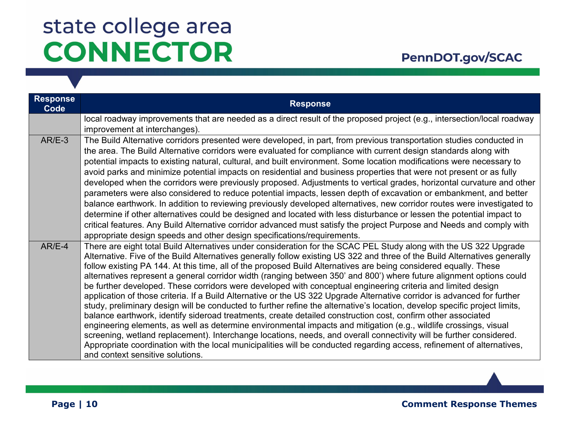### PennDOT.gov/SCAC

| <b>Response</b><br>Code | <b>Response</b>                                                                                                                                                                                                                                                                                                                                                                                                                                                                                                                                                                                                                                                                                                                                                                                                                                                                                                                                                                                                                                                                                                                                                                                                                                                                                                                                                                                 |
|-------------------------|-------------------------------------------------------------------------------------------------------------------------------------------------------------------------------------------------------------------------------------------------------------------------------------------------------------------------------------------------------------------------------------------------------------------------------------------------------------------------------------------------------------------------------------------------------------------------------------------------------------------------------------------------------------------------------------------------------------------------------------------------------------------------------------------------------------------------------------------------------------------------------------------------------------------------------------------------------------------------------------------------------------------------------------------------------------------------------------------------------------------------------------------------------------------------------------------------------------------------------------------------------------------------------------------------------------------------------------------------------------------------------------------------|
|                         | local roadway improvements that are needed as a direct result of the proposed project (e.g., intersection/local roadway<br>improvement at interchanges).                                                                                                                                                                                                                                                                                                                                                                                                                                                                                                                                                                                                                                                                                                                                                                                                                                                                                                                                                                                                                                                                                                                                                                                                                                        |
| $AR/E-3$                | The Build Alternative corridors presented were developed, in part, from previous transportation studies conducted in<br>the area. The Build Alternative corridors were evaluated for compliance with current design standards along with<br>potential impacts to existing natural, cultural, and built environment. Some location modifications were necessary to<br>avoid parks and minimize potential impacts on residential and business properties that were not present or as fully<br>developed when the corridors were previously proposed. Adjustments to vertical grades, horizontal curvature and other<br>parameters were also considered to reduce potential impacts, lessen depth of excavation or embankment, and better<br>balance earthwork. In addition to reviewing previously developed alternatives, new corridor routes were investigated to<br>determine if other alternatives could be designed and located with less disturbance or lessen the potential impact to<br>critical features. Any Build Alternative corridor advanced must satisfy the project Purpose and Needs and comply with<br>appropriate design speeds and other design specifications/requirements.                                                                                                                                                                                                  |
| $AR/E-4$                | There are eight total Build Alternatives under consideration for the SCAC PEL Study along with the US 322 Upgrade<br>Alternative. Five of the Build Alternatives generally follow existing US 322 and three of the Build Alternatives generally<br>follow existing PA 144. At this time, all of the proposed Build Alternatives are being considered equally. These<br>alternatives represent a general corridor width (ranging between 350' and 800') where future alignment options could<br>be further developed. These corridors were developed with conceptual engineering criteria and limited design<br>application of those criteria. If a Build Alternative or the US 322 Upgrade Alternative corridor is advanced for further<br>study, preliminary design will be conducted to further refine the alternative's location, develop specific project limits,<br>balance earthwork, identify sideroad treatments, create detailed construction cost, confirm other associated<br>engineering elements, as well as determine environmental impacts and mitigation (e.g., wildlife crossings, visual<br>screening, wetland replacement). Interchange locations, needs, and overall connectivity will be further considered.<br>Appropriate coordination with the local municipalities will be conducted regarding access, refinement of alternatives,<br>and context sensitive solutions. |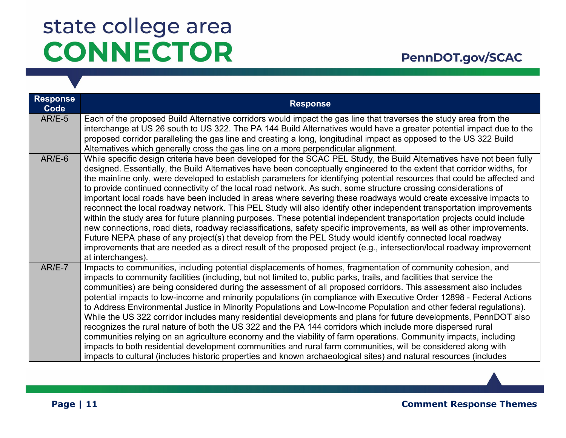| <b>Response</b><br>Code | <b>Response</b>                                                                                                                                                                                                                                                                                                                                                                                                                                                                                                                                                                                                                                                                                                                                                                                                                                                                                                                                                                                                                                                                                                                                                                                                                                           |
|-------------------------|-----------------------------------------------------------------------------------------------------------------------------------------------------------------------------------------------------------------------------------------------------------------------------------------------------------------------------------------------------------------------------------------------------------------------------------------------------------------------------------------------------------------------------------------------------------------------------------------------------------------------------------------------------------------------------------------------------------------------------------------------------------------------------------------------------------------------------------------------------------------------------------------------------------------------------------------------------------------------------------------------------------------------------------------------------------------------------------------------------------------------------------------------------------------------------------------------------------------------------------------------------------|
| $AR/E-5$                | Each of the proposed Build Alternative corridors would impact the gas line that traverses the study area from the<br>interchange at US 26 south to US 322. The PA 144 Build Alternatives would have a greater potential impact due to the<br>proposed corridor paralleling the gas line and creating a long, longitudinal impact as opposed to the US 322 Build<br>Alternatives which generally cross the gas line on a more perpendicular alignment.                                                                                                                                                                                                                                                                                                                                                                                                                                                                                                                                                                                                                                                                                                                                                                                                     |
| $AR/E-6$                | While specific design criteria have been developed for the SCAC PEL Study, the Build Alternatives have not been fully<br>designed. Essentially, the Build Alternatives have been conceptually engineered to the extent that corridor widths, for<br>the mainline only, were developed to establish parameters for identifying potential resources that could be affected and<br>to provide continued connectivity of the local road network. As such, some structure crossing considerations of<br>important local roads have been included in areas where severing these roadways would create excessive impacts to<br>reconnect the local roadway network. This PEL Study will also identify other independent transportation improvements<br>within the study area for future planning purposes. These potential independent transportation projects could include<br>new connections, road diets, roadway reclassifications, safety specific improvements, as well as other improvements.<br>Future NEPA phase of any project(s) that develop from the PEL Study would identify connected local roadway<br>improvements that are needed as a direct result of the proposed project (e.g., intersection/local roadway improvement<br>at interchanges). |
| $AR/E-7$                | Impacts to communities, including potential displacements of homes, fragmentation of community cohesion, and<br>impacts to community facilities (including, but not limited to, public parks, trails, and facilities that service the<br>communities) are being considered during the assessment of all proposed corridors. This assessment also includes<br>potential impacts to low-income and minority populations (in compliance with Executive Order 12898 - Federal Actions<br>to Address Environmental Justice in Minority Populations and Low-Income Population and other federal regulations).<br>While the US 322 corridor includes many residential developments and plans for future developments, PennDOT also<br>recognizes the rural nature of both the US 322 and the PA 144 corridors which include more dispersed rural<br>communities relying on an agriculture economy and the viability of farm operations. Community impacts, including<br>impacts to both residential development communities and rural farm communities, will be considered along with<br>impacts to cultural (includes historic properties and known archaeological sites) and natural resources (includes                                                       |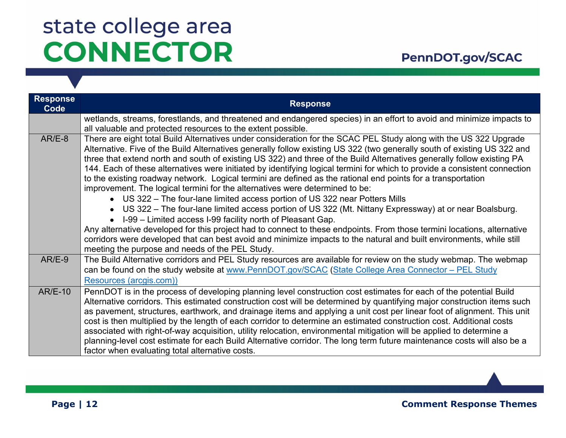### PennDOT.gov/SCAC

| <b>Response</b><br>Code | <b>Response</b>                                                                                                                                                                                                                                                                                                                                                                                                                                                                                                                                                                                                                                                                                                                                                                                                                                                                                                                                                                                                                                                                                                                                                                                                    |
|-------------------------|--------------------------------------------------------------------------------------------------------------------------------------------------------------------------------------------------------------------------------------------------------------------------------------------------------------------------------------------------------------------------------------------------------------------------------------------------------------------------------------------------------------------------------------------------------------------------------------------------------------------------------------------------------------------------------------------------------------------------------------------------------------------------------------------------------------------------------------------------------------------------------------------------------------------------------------------------------------------------------------------------------------------------------------------------------------------------------------------------------------------------------------------------------------------------------------------------------------------|
|                         | wetlands, streams, forestlands, and threatened and endangered species) in an effort to avoid and minimize impacts to<br>all valuable and protected resources to the extent possible.                                                                                                                                                                                                                                                                                                                                                                                                                                                                                                                                                                                                                                                                                                                                                                                                                                                                                                                                                                                                                               |
| $AR/E-8$                | There are eight total Build Alternatives under consideration for the SCAC PEL Study along with the US 322 Upgrade<br>Alternative. Five of the Build Alternatives generally follow existing US 322 (two generally south of existing US 322 and<br>three that extend north and south of existing US 322) and three of the Build Alternatives generally follow existing PA<br>144. Each of these alternatives were initiated by identifying logical termini for which to provide a consistent connection<br>to the existing roadway network. Logical termini are defined as the rational end points for a transportation<br>improvement. The logical termini for the alternatives were determined to be:<br>• US 322 – The four-lane limited access portion of US 322 near Potters Mills<br>• US 322 – The four-lane limited access portion of US 322 (Mt. Nittany Expressway) at or near Boalsburg.<br>I-99 – Limited access I-99 facility north of Pleasant Gap.<br>Any alternative developed for this project had to connect to these endpoints. From those termini locations, alternative<br>corridors were developed that can best avoid and minimize impacts to the natural and built environments, while still |
| $AR/E-9$                | meeting the purpose and needs of the PEL Study.<br>The Build Alternative corridors and PEL Study resources are available for review on the study webmap. The webmap                                                                                                                                                                                                                                                                                                                                                                                                                                                                                                                                                                                                                                                                                                                                                                                                                                                                                                                                                                                                                                                |
|                         | can be found on the study website at www.PennDOT.gov/SCAC (State College Area Connector - PEL Study<br>Resources (arcgis.com))                                                                                                                                                                                                                                                                                                                                                                                                                                                                                                                                                                                                                                                                                                                                                                                                                                                                                                                                                                                                                                                                                     |
| $AR/E-10$               | PennDOT is in the process of developing planning level construction cost estimates for each of the potential Build<br>Alternative corridors. This estimated construction cost will be determined by quantifying major construction items such<br>as pavement, structures, earthwork, and drainage items and applying a unit cost per linear foot of alignment. This unit<br>cost is then multiplied by the length of each corridor to determine an estimated construction cost. Additional costs<br>associated with right-of-way acquisition, utility relocation, environmental mitigation will be applied to determine a<br>planning-level cost estimate for each Build Alternative corridor. The long term future maintenance costs will also be a<br>factor when evaluating total alternative costs.                                                                                                                                                                                                                                                                                                                                                                                                            |

**Page | 12** Comment Response Themes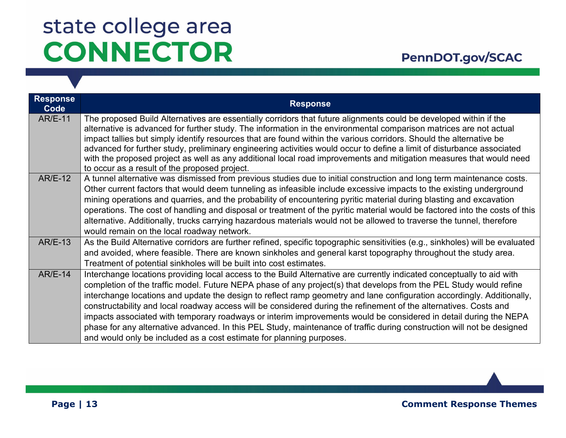| <b>Response</b><br><b>Code</b> | <b>Response</b>                                                                                                                                                                                                                                                                                                                                                                                                                                                                                                                                                                                                                                                                                                                                                                                                   |
|--------------------------------|-------------------------------------------------------------------------------------------------------------------------------------------------------------------------------------------------------------------------------------------------------------------------------------------------------------------------------------------------------------------------------------------------------------------------------------------------------------------------------------------------------------------------------------------------------------------------------------------------------------------------------------------------------------------------------------------------------------------------------------------------------------------------------------------------------------------|
| <b>AR/E-11</b>                 | The proposed Build Alternatives are essentially corridors that future alignments could be developed within if the<br>alternative is advanced for further study. The information in the environmental comparison matrices are not actual<br>impact tallies but simply identify resources that are found within the various corridors. Should the alternative be<br>advanced for further study, preliminary engineering activities would occur to define a limit of disturbance associated<br>with the proposed project as well as any additional local road improvements and mitigation measures that would need<br>to occur as a result of the proposed project.                                                                                                                                                  |
| <b>AR/E-12</b>                 | A tunnel alternative was dismissed from previous studies due to initial construction and long term maintenance costs.<br>Other current factors that would deem tunneling as infeasible include excessive impacts to the existing underground<br>mining operations and quarries, and the probability of encountering pyritic material during blasting and excavation<br>operations. The cost of handling and disposal or treatment of the pyritic material would be factored into the costs of this<br>alternative. Additionally, trucks carrying hazardous materials would not be allowed to traverse the tunnel, therefore<br>would remain on the local roadway network.                                                                                                                                         |
| <b>AR/E-13</b>                 | As the Build Alternative corridors are further refined, specific topographic sensitivities (e.g., sinkholes) will be evaluated<br>and avoided, where feasible. There are known sinkholes and general karst topography throughout the study area.<br>Treatment of potential sinkholes will be built into cost estimates.                                                                                                                                                                                                                                                                                                                                                                                                                                                                                           |
| $AR/E-14$                      | Interchange locations providing local access to the Build Alternative are currently indicated conceptually to aid with<br>completion of the traffic model. Future NEPA phase of any project(s) that develops from the PEL Study would refine<br>interchange locations and update the design to reflect ramp geometry and lane configuration accordingly. Additionally,<br>constructability and local roadway access will be considered during the refinement of the alternatives. Costs and<br>impacts associated with temporary roadways or interim improvements would be considered in detail during the NEPA<br>phase for any alternative advanced. In this PEL Study, maintenance of traffic during construction will not be designed<br>and would only be included as a cost estimate for planning purposes. |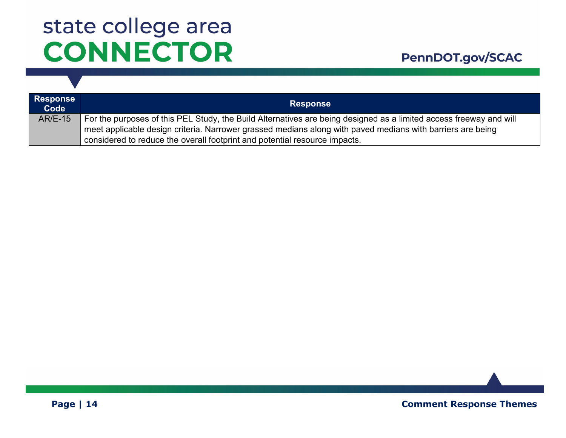| <b>Response</b><br>Code | <b>Response</b>                                                                                                                                                                                                                                                                                                |
|-------------------------|----------------------------------------------------------------------------------------------------------------------------------------------------------------------------------------------------------------------------------------------------------------------------------------------------------------|
| <b>AR/E-15</b>          | For the purposes of this PEL Study, the Build Alternatives are being designed as a limited access freeway and will<br>meet applicable design criteria. Narrower grassed medians along with paved medians with barriers are being<br>considered to reduce the overall footprint and potential resource impacts. |

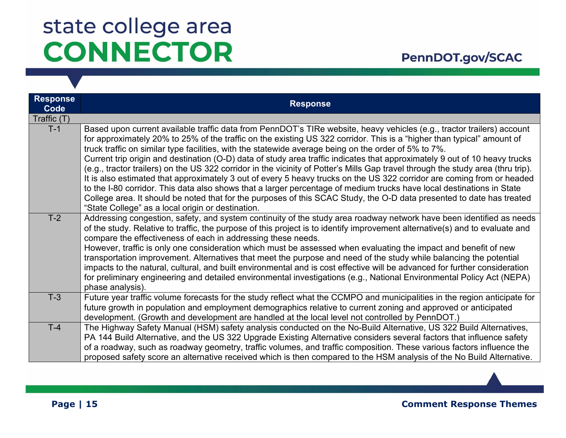| <b>Response</b><br>Code | <b>Response</b>                                                                                                                                                                                                                                                                                                                                                                                                                                                                                                                                                                                                                                                                                                                                                                                                                                                                                                                                                                                                                                             |
|-------------------------|-------------------------------------------------------------------------------------------------------------------------------------------------------------------------------------------------------------------------------------------------------------------------------------------------------------------------------------------------------------------------------------------------------------------------------------------------------------------------------------------------------------------------------------------------------------------------------------------------------------------------------------------------------------------------------------------------------------------------------------------------------------------------------------------------------------------------------------------------------------------------------------------------------------------------------------------------------------------------------------------------------------------------------------------------------------|
| Traffic (T)             |                                                                                                                                                                                                                                                                                                                                                                                                                                                                                                                                                                                                                                                                                                                                                                                                                                                                                                                                                                                                                                                             |
| $T-1$                   | Based upon current available traffic data from PennDOT's TIRe website, heavy vehicles (e.g., tractor trailers) account<br>for approximately 20% to 25% of the traffic on the existing US 322 corridor. This is a "higher than typical" amount of<br>truck traffic on similar type facilities, with the statewide average being on the order of 5% to 7%.<br>Current trip origin and destination (O-D) data of study area traffic indicates that approximately 9 out of 10 heavy trucks<br>(e.g., tractor trailers) on the US 322 corridor in the vicinity of Potter's Mills Gap travel through the study area (thru trip).<br>It is also estimated that approximately 3 out of every 5 heavy trucks on the US 322 corridor are coming from or headed<br>to the I-80 corridor. This data also shows that a larger percentage of medium trucks have local destinations in State<br>College area. It should be noted that for the purposes of this SCAC Study, the O-D data presented to date has treated<br>"State College" as a local origin or destination. |
| $T-2$                   | Addressing congestion, safety, and system continuity of the study area roadway network have been identified as needs<br>of the study. Relative to traffic, the purpose of this project is to identify improvement alternative(s) and to evaluate and<br>compare the effectiveness of each in addressing these needs.<br>However, traffic is only one consideration which must be assessed when evaluating the impact and benefit of new<br>transportation improvement. Alternatives that meet the purpose and need of the study while balancing the potential<br>impacts to the natural, cultural, and built environmental and is cost effective will be advanced for further consideration<br>for preliminary engineering and detailed environmental investigations (e.g., National Environmental Policy Act (NEPA)<br>phase analysis).                                                                                                                                                                                                                    |
| $T-3$                   | Future year traffic volume forecasts for the study reflect what the CCMPO and municipalities in the region anticipate for<br>future growth in population and employment demographics relative to current zoning and approved or anticipated<br>development. (Growth and development are handled at the local level not controlled by PennDOT.)                                                                                                                                                                                                                                                                                                                                                                                                                                                                                                                                                                                                                                                                                                              |
| $T-4$                   | The Highway Safety Manual (HSM) safety analysis conducted on the No-Build Alternative, US 322 Build Alternatives,<br>PA 144 Build Alternative, and the US 322 Upgrade Existing Alternative considers several factors that influence safety<br>of a roadway, such as roadway geometry, traffic volumes, and traffic composition. These various factors influence the<br>proposed safety score an alternative received which is then compared to the HSM analysis of the No Build Alternative.                                                                                                                                                                                                                                                                                                                                                                                                                                                                                                                                                                |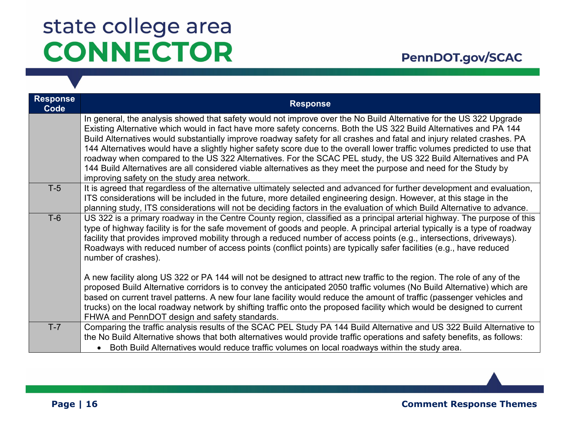| <b>Response</b><br>Code | <b>Response</b>                                                                                                                                                                                                                                                                                                                                                                                                                                                                                                                                                                                                                                                                                                                                                                     |
|-------------------------|-------------------------------------------------------------------------------------------------------------------------------------------------------------------------------------------------------------------------------------------------------------------------------------------------------------------------------------------------------------------------------------------------------------------------------------------------------------------------------------------------------------------------------------------------------------------------------------------------------------------------------------------------------------------------------------------------------------------------------------------------------------------------------------|
|                         | In general, the analysis showed that safety would not improve over the No Build Alternative for the US 322 Upgrade<br>Existing Alternative which would in fact have more safety concerns. Both the US 322 Build Alternatives and PA 144<br>Build Alternatives would substantially improve roadway safety for all crashes and fatal and injury related crashes. PA<br>144 Alternatives would have a slightly higher safety score due to the overall lower traffic volumes predicted to use that<br>roadway when compared to the US 322 Alternatives. For the SCAC PEL study, the US 322 Build Alternatives and PA<br>144 Build Alternatives are all considered viable alternatives as they meet the purpose and need for the Study by<br>improving safety on the study area network. |
| $T-5$                   | It is agreed that regardless of the alternative ultimately selected and advanced for further development and evaluation,<br>ITS considerations will be included in the future, more detailed engineering design. However, at this stage in the<br>planning study, ITS considerations will not be deciding factors in the evaluation of which Build Alternative to advance.                                                                                                                                                                                                                                                                                                                                                                                                          |
| $T-6$                   | US 322 is a primary roadway in the Centre County region, classified as a principal arterial highway. The purpose of this<br>type of highway facility is for the safe movement of goods and people. A principal arterial typically is a type of roadway<br>facility that provides improved mobility through a reduced number of access points (e.g., intersections, driveways).<br>Roadways with reduced number of access points (conflict points) are typically safer facilities (e.g., have reduced<br>number of crashes).                                                                                                                                                                                                                                                         |
|                         | A new facility along US 322 or PA 144 will not be designed to attract new traffic to the region. The role of any of the<br>proposed Build Alternative corridors is to convey the anticipated 2050 traffic volumes (No Build Alternative) which are<br>based on current travel patterns. A new four lane facility would reduce the amount of traffic (passenger vehicles and<br>trucks) on the local roadway network by shifting traffic onto the proposed facility which would be designed to current<br>FHWA and PennDOT design and safety standards.                                                                                                                                                                                                                              |
| $T-7$                   | Comparing the traffic analysis results of the SCAC PEL Study PA 144 Build Alternative and US 322 Build Alternative to<br>the No Build Alternative shows that both alternatives would provide traffic operations and safety benefits, as follows:<br>Both Build Alternatives would reduce traffic volumes on local roadways within the study area.                                                                                                                                                                                                                                                                                                                                                                                                                                   |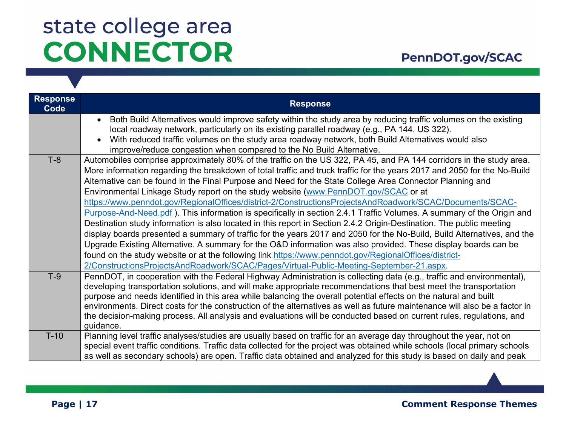| <b>Response</b><br>Code | <b>Response</b>                                                                                                                                                                                                                                                                                                                                                                                                                                                                                                                                                                                                                                                                                                                                                                                                                                                                                                                                                                                                                                                                                                                                                                                                                                                 |
|-------------------------|-----------------------------------------------------------------------------------------------------------------------------------------------------------------------------------------------------------------------------------------------------------------------------------------------------------------------------------------------------------------------------------------------------------------------------------------------------------------------------------------------------------------------------------------------------------------------------------------------------------------------------------------------------------------------------------------------------------------------------------------------------------------------------------------------------------------------------------------------------------------------------------------------------------------------------------------------------------------------------------------------------------------------------------------------------------------------------------------------------------------------------------------------------------------------------------------------------------------------------------------------------------------|
|                         | Both Build Alternatives would improve safety within the study area by reducing traffic volumes on the existing<br>local roadway network, particularly on its existing parallel roadway (e.g., PA 144, US 322).<br>With reduced traffic volumes on the study area roadway network, both Build Alternatives would also<br>$\bullet$<br>improve/reduce congestion when compared to the No Build Alternative.                                                                                                                                                                                                                                                                                                                                                                                                                                                                                                                                                                                                                                                                                                                                                                                                                                                       |
| $T-8$                   | Automobiles comprise approximately 80% of the traffic on the US 322, PA 45, and PA 144 corridors in the study area.<br>More information regarding the breakdown of total traffic and truck traffic for the years 2017 and 2050 for the No-Build<br>Alternative can be found in the Final Purpose and Need for the State College Area Connector Planning and<br>Environmental Linkage Study report on the study website (www.PennDOT.gov/SCAC or at<br>https://www.penndot.gov/RegionalOffices/district-2/ConstructionsProjectsAndRoadwork/SCAC/Documents/SCAC-<br>Purpose-And-Need pdf). This information is specifically in section 2.4.1 Traffic Volumes. A summary of the Origin and<br>Destination study information is also located in this report in Section 2.4.2 Origin-Destination. The public meeting<br>display boards presented a summary of traffic for the years 2017 and 2050 for the No-Build, Build Alternatives, and the<br>Upgrade Existing Alternative. A summary for the O&D information was also provided. These display boards can be<br>found on the study website or at the following link https://www.penndot.gov/RegionalOffices/district-<br>2/ConstructionsProjectsAndRoadwork/SCAC/Pages/Virtual-Public-Meeting-September-21.aspx |
| $T-9$                   | PennDOT, in cooperation with the Federal Highway Administration is collecting data (e.g., traffic and environmental),<br>developing transportation solutions, and will make appropriate recommendations that best meet the transportation<br>purpose and needs identified in this area while balancing the overall potential effects on the natural and built<br>environments. Direct costs for the construction of the alternatives as well as future maintenance will also be a factor in<br>the decision-making process. All analysis and evaluations will be conducted based on current rules, regulations, and<br>quidance.                                                                                                                                                                                                                                                                                                                                                                                                                                                                                                                                                                                                                                |
| $T-10$                  | Planning level traffic analyses/studies are usually based on traffic for an average day throughout the year, not on<br>special event traffic conditions. Traffic data collected for the project was obtained while schools (local primary schools<br>as well as secondary schools) are open. Traffic data obtained and analyzed for this study is based on daily and peak                                                                                                                                                                                                                                                                                                                                                                                                                                                                                                                                                                                                                                                                                                                                                                                                                                                                                       |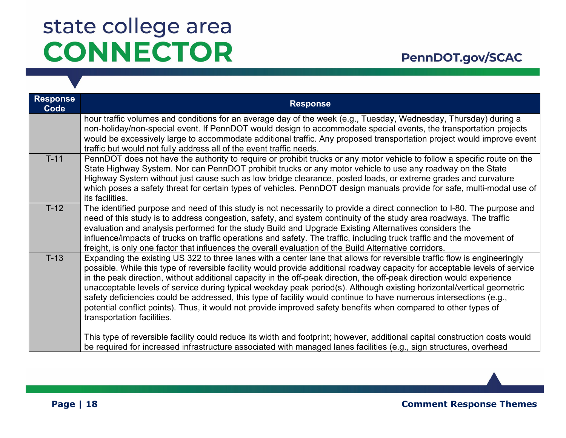| <b>Response</b><br>Code | <b>Response</b>                                                                                                                                                                                                                                                                                                                                                                                                                                                                                                                                                                                                                                                                                                                                                                  |
|-------------------------|----------------------------------------------------------------------------------------------------------------------------------------------------------------------------------------------------------------------------------------------------------------------------------------------------------------------------------------------------------------------------------------------------------------------------------------------------------------------------------------------------------------------------------------------------------------------------------------------------------------------------------------------------------------------------------------------------------------------------------------------------------------------------------|
|                         | hour traffic volumes and conditions for an average day of the week (e.g., Tuesday, Wednesday, Thursday) during a<br>non-holiday/non-special event. If PennDOT would design to accommodate special events, the transportation projects<br>would be excessively large to accommodate additional traffic. Any proposed transportation project would improve event<br>traffic but would not fully address all of the event traffic needs.                                                                                                                                                                                                                                                                                                                                            |
| $T-11$                  | PennDOT does not have the authority to require or prohibit trucks or any motor vehicle to follow a specific route on the<br>State Highway System. Nor can PennDOT prohibit trucks or any motor vehicle to use any roadway on the State<br>Highway System without just cause such as low bridge clearance, posted loads, or extreme grades and curvature<br>which poses a safety threat for certain types of vehicles. PennDOT design manuals provide for safe, multi-modal use of<br>its facilities.                                                                                                                                                                                                                                                                             |
| $T-12$                  | The identified purpose and need of this study is not necessarily to provide a direct connection to I-80. The purpose and<br>need of this study is to address congestion, safety, and system continuity of the study area roadways. The traffic<br>evaluation and analysis performed for the study Build and Upgrade Existing Alternatives considers the<br>influence/impacts of trucks on traffic operations and safety. The traffic, including truck traffic and the movement of<br>freight, is only one factor that influences the overall evaluation of the Build Alternative corridors.                                                                                                                                                                                      |
| $T-13$                  | Expanding the existing US 322 to three lanes with a center lane that allows for reversible traffic flow is engineeringly<br>possible. While this type of reversible facility would provide additional roadway capacity for acceptable levels of service<br>in the peak direction, without additional capacity in the off-peak direction, the off-peak direction would experience<br>unacceptable levels of service during typical weekday peak period(s). Although existing horizontal/vertical geometric<br>safety deficiencies could be addressed, this type of facility would continue to have numerous intersections (e.g.,<br>potential conflict points). Thus, it would not provide improved safety benefits when compared to other types of<br>transportation facilities. |
|                         | This type of reversible facility could reduce its width and footprint; however, additional capital construction costs would<br>be required for increased infrastructure associated with managed lanes facilities (e.g., sign structures, overhead                                                                                                                                                                                                                                                                                                                                                                                                                                                                                                                                |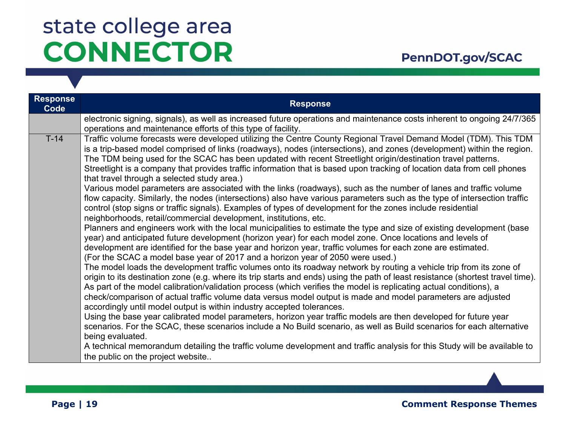### PennDOT.gov/SCAC

| <b>Response</b><br>Code | <b>Response</b>                                                                                                                                                                                                                                                                                                                                                                                                                                                                                                                                                                                                                                                                                                                                                                                                                                                                                                                                                                                                                                                                                                                                                                                                                                                                                                                                                                                                                                                                                                                                                                                                                                                                                                                                                                                                                                                                                                                                                                                                                                                                                                                                                                                                                                                                                                                                                                                                              |
|-------------------------|------------------------------------------------------------------------------------------------------------------------------------------------------------------------------------------------------------------------------------------------------------------------------------------------------------------------------------------------------------------------------------------------------------------------------------------------------------------------------------------------------------------------------------------------------------------------------------------------------------------------------------------------------------------------------------------------------------------------------------------------------------------------------------------------------------------------------------------------------------------------------------------------------------------------------------------------------------------------------------------------------------------------------------------------------------------------------------------------------------------------------------------------------------------------------------------------------------------------------------------------------------------------------------------------------------------------------------------------------------------------------------------------------------------------------------------------------------------------------------------------------------------------------------------------------------------------------------------------------------------------------------------------------------------------------------------------------------------------------------------------------------------------------------------------------------------------------------------------------------------------------------------------------------------------------------------------------------------------------------------------------------------------------------------------------------------------------------------------------------------------------------------------------------------------------------------------------------------------------------------------------------------------------------------------------------------------------------------------------------------------------------------------------------------------------|
|                         | electronic signing, signals), as well as increased future operations and maintenance costs inherent to ongoing 24/7/365<br>operations and maintenance efforts of this type of facility.                                                                                                                                                                                                                                                                                                                                                                                                                                                                                                                                                                                                                                                                                                                                                                                                                                                                                                                                                                                                                                                                                                                                                                                                                                                                                                                                                                                                                                                                                                                                                                                                                                                                                                                                                                                                                                                                                                                                                                                                                                                                                                                                                                                                                                      |
| $T-14$                  | Traffic volume forecasts were developed utilizing the Centre County Regional Travel Demand Model (TDM). This TDM<br>is a trip-based model comprised of links (roadways), nodes (intersections), and zones (development) within the region.<br>The TDM being used for the SCAC has been updated with recent Streetlight origin/destination travel patterns.<br>Streetlight is a company that provides traffic information that is based upon tracking of location data from cell phones<br>that travel through a selected study area.)<br>Various model parameters are associated with the links (roadways), such as the number of lanes and traffic volume<br>flow capacity. Similarly, the nodes (intersections) also have various parameters such as the type of intersection traffic<br>control (stop signs or traffic signals). Examples of types of development for the zones include residential<br>neighborhoods, retail/commercial development, institutions, etc.<br>Planners and engineers work with the local municipalities to estimate the type and size of existing development (base<br>year) and anticipated future development (horizon year) for each model zone. Once locations and levels of<br>development are identified for the base year and horizon year, traffic volumes for each zone are estimated.<br>(For the SCAC a model base year of 2017 and a horizon year of 2050 were used.)<br>The model loads the development traffic volumes onto its roadway network by routing a vehicle trip from its zone of<br>origin to its destination zone (e.g. where its trip starts and ends) using the path of least resistance (shortest travel time).<br>As part of the model calibration/validation process (which verifies the model is replicating actual conditions), a<br>check/comparison of actual traffic volume data versus model output is made and model parameters are adjusted<br>accordingly until model output is within industry accepted tolerances.<br>Using the base year calibrated model parameters, horizon year traffic models are then developed for future year<br>scenarios. For the SCAC, these scenarios include a No Build scenario, as well as Build scenarios for each alternative<br>being evaluated.<br>A technical memorandum detailing the traffic volume development and traffic analysis for this Study will be available to<br>the public on the project website |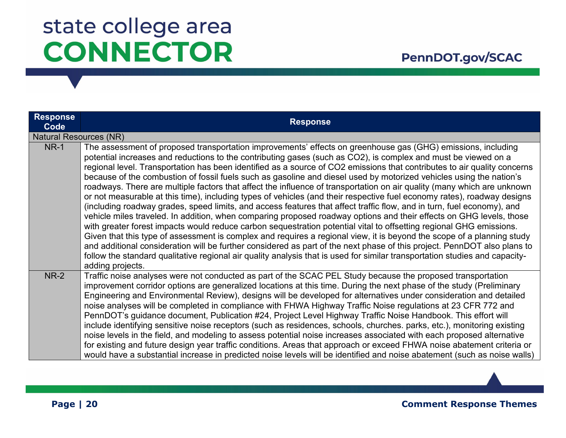| <b>Response</b><br>Code       | <b>Response</b>                                                                                                                                                                                                                                                                                                                                                                                                                                                                                                                                                                                                                                                                                                                                                                                                                                                                                                                                                                                                                                                                                                                                                                                                                                                                                                                                                                                                                                                                                                          |
|-------------------------------|--------------------------------------------------------------------------------------------------------------------------------------------------------------------------------------------------------------------------------------------------------------------------------------------------------------------------------------------------------------------------------------------------------------------------------------------------------------------------------------------------------------------------------------------------------------------------------------------------------------------------------------------------------------------------------------------------------------------------------------------------------------------------------------------------------------------------------------------------------------------------------------------------------------------------------------------------------------------------------------------------------------------------------------------------------------------------------------------------------------------------------------------------------------------------------------------------------------------------------------------------------------------------------------------------------------------------------------------------------------------------------------------------------------------------------------------------------------------------------------------------------------------------|
| <b>Natural Resources (NR)</b> |                                                                                                                                                                                                                                                                                                                                                                                                                                                                                                                                                                                                                                                                                                                                                                                                                                                                                                                                                                                                                                                                                                                                                                                                                                                                                                                                                                                                                                                                                                                          |
| <b>NR-1</b>                   | The assessment of proposed transportation improvements' effects on greenhouse gas (GHG) emissions, including<br>potential increases and reductions to the contributing gases (such as CO2), is complex and must be viewed on a<br>regional level. Transportation has been identified as a source of CO2 emissions that contributes to air quality concerns<br>because of the combustion of fossil fuels such as gasoline and diesel used by motorized vehicles using the nation's<br>roadways. There are multiple factors that affect the influence of transportation on air quality (many which are unknown<br>or not measurable at this time), including types of vehicles (and their respective fuel economy rates), roadway designs<br>(including roadway grades, speed limits, and access features that affect traffic flow, and in turn, fuel economy), and<br>vehicle miles traveled. In addition, when comparing proposed roadway options and their effects on GHG levels, those<br>with greater forest impacts would reduce carbon sequestration potential vital to offsetting regional GHG emissions.<br>Given that this type of assessment is complex and requires a regional view, it is beyond the scope of a planning study<br>and additional consideration will be further considered as part of the next phase of this project. PennDOT also plans to<br>follow the standard qualitative regional air quality analysis that is used for similar transportation studies and capacity-<br>adding projects. |
| <b>NR-2</b>                   | Traffic noise analyses were not conducted as part of the SCAC PEL Study because the proposed transportation<br>improvement corridor options are generalized locations at this time. During the next phase of the study (Preliminary<br>Engineering and Environmental Review), designs will be developed for alternatives under consideration and detailed<br>noise analyses will be completed in compliance with FHWA Highway Traffic Noise regulations at 23 CFR 772 and<br>PennDOT's guidance document, Publication #24, Project Level Highway Traffic Noise Handbook. This effort will<br>include identifying sensitive noise receptors (such as residences, schools, churches. parks, etc.), monitoring existing<br>noise levels in the field, and modeling to assess potential noise increases associated with each proposed alternative<br>for existing and future design year traffic conditions. Areas that approach or exceed FHWA noise abatement criteria or<br>would have a substantial increase in predicted noise levels will be identified and noise abatement (such as noise walls)                                                                                                                                                                                                                                                                                                                                                                                                                      |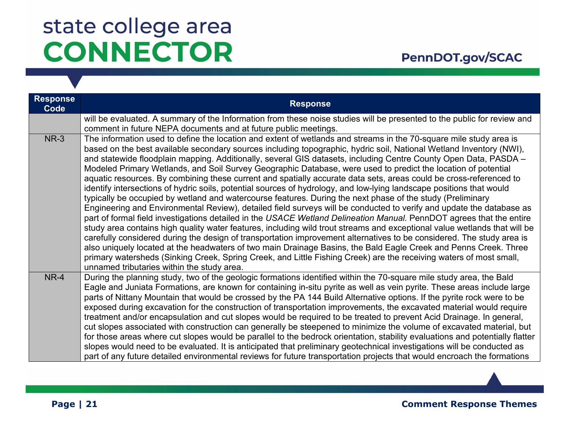### PennDOT.gov/SCAC

| <b>Response</b><br>Code | <b>Response</b>                                                                                                                                                                                                                                                                                                                                                                                                                                                                                                                                                                                                                                                                                                                                                                                                                                                                                                                                                                                                                                                                                                                                                                                                                                                                                                                                                                                                                                                                                                                                                                                                                          |
|-------------------------|------------------------------------------------------------------------------------------------------------------------------------------------------------------------------------------------------------------------------------------------------------------------------------------------------------------------------------------------------------------------------------------------------------------------------------------------------------------------------------------------------------------------------------------------------------------------------------------------------------------------------------------------------------------------------------------------------------------------------------------------------------------------------------------------------------------------------------------------------------------------------------------------------------------------------------------------------------------------------------------------------------------------------------------------------------------------------------------------------------------------------------------------------------------------------------------------------------------------------------------------------------------------------------------------------------------------------------------------------------------------------------------------------------------------------------------------------------------------------------------------------------------------------------------------------------------------------------------------------------------------------------------|
|                         | will be evaluated. A summary of the Information from these noise studies will be presented to the public for review and<br>comment in future NEPA documents and at future public meetings.                                                                                                                                                                                                                                                                                                                                                                                                                                                                                                                                                                                                                                                                                                                                                                                                                                                                                                                                                                                                                                                                                                                                                                                                                                                                                                                                                                                                                                               |
| <b>NR-3</b>             | The information used to define the location and extent of wetlands and streams in the 70-square mile study area is<br>based on the best available secondary sources including topographic, hydric soil, National Wetland Inventory (NWI),<br>and statewide floodplain mapping. Additionally, several GIS datasets, including Centre County Open Data, PASDA -<br>Modeled Primary Wetlands, and Soil Survey Geographic Database, were used to predict the location of potential<br>aquatic resources. By combining these current and spatially accurate data sets, areas could be cross-referenced to<br>identify intersections of hydric soils, potential sources of hydrology, and low-lying landscape positions that would<br>typically be occupied by wetland and watercourse features. During the next phase of the study (Preliminary<br>Engineering and Environmental Review), detailed field surveys will be conducted to verify and update the database as<br>part of formal field investigations detailed in the USACE Wetland Delineation Manual. PennDOT agrees that the entire<br>study area contains high quality water features, including wild trout streams and exceptional value wetlands that will be<br>carefully considered during the design of transportation improvement alternatives to be considered. The study area is<br>also uniquely located at the headwaters of two main Drainage Basins, the Bald Eagle Creek and Penns Creek. Three<br>primary watersheds (Sinking Creek, Spring Creek, and Little Fishing Creek) are the receiving waters of most small,<br>unnamed tributaries within the study area. |
| NR-4                    | During the planning study, two of the geologic formations identified within the 70-square mile study area, the Bald<br>Eagle and Juniata Formations, are known for containing in-situ pyrite as well as vein pyrite. These areas include large<br>parts of Nittany Mountain that would be crossed by the PA 144 Build Alternative options. If the pyrite rock were to be<br>exposed during excavation for the construction of transportation improvements, the excavated material would require<br>treatment and/or encapsulation and cut slopes would be required to be treated to prevent Acid Drainage. In general,<br>cut slopes associated with construction can generally be steepened to minimize the volume of excavated material, but<br>for those areas where cut slopes would be parallel to the bedrock orientation, stability evaluations and potentially flatter<br>slopes would need to be evaluated. It is anticipated that preliminary geotechnical investigations will be conducted as<br>part of any future detailed environmental reviews for future transportation projects that would encroach the formations                                                                                                                                                                                                                                                                                                                                                                                                                                                                                                      |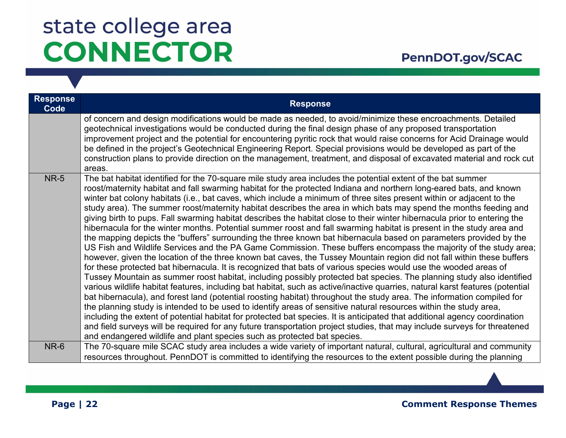| <b>Response</b><br>Code | <b>Response</b>                                                                                                                                                                                                                                                                                                                                                                                                                                                                                                                                                                                                                                                                                                                                                                                                                                                                                                                                                                                                                                                                                                                                                                                                                                                                                                                                                                                                                                                                                                                                                                                                                                                                                                                                                                                                                                                                                                                                                                                                                                                                |
|-------------------------|--------------------------------------------------------------------------------------------------------------------------------------------------------------------------------------------------------------------------------------------------------------------------------------------------------------------------------------------------------------------------------------------------------------------------------------------------------------------------------------------------------------------------------------------------------------------------------------------------------------------------------------------------------------------------------------------------------------------------------------------------------------------------------------------------------------------------------------------------------------------------------------------------------------------------------------------------------------------------------------------------------------------------------------------------------------------------------------------------------------------------------------------------------------------------------------------------------------------------------------------------------------------------------------------------------------------------------------------------------------------------------------------------------------------------------------------------------------------------------------------------------------------------------------------------------------------------------------------------------------------------------------------------------------------------------------------------------------------------------------------------------------------------------------------------------------------------------------------------------------------------------------------------------------------------------------------------------------------------------------------------------------------------------------------------------------------------------|
|                         | of concern and design modifications would be made as needed, to avoid/minimize these encroachments. Detailed<br>geotechnical investigations would be conducted during the final design phase of any proposed transportation<br>improvement project and the potential for encountering pyritic rock that would raise concerns for Acid Drainage would<br>be defined in the project's Geotechnical Engineering Report. Special provisions would be developed as part of the<br>construction plans to provide direction on the management, treatment, and disposal of excavated material and rock cut<br>areas.                                                                                                                                                                                                                                                                                                                                                                                                                                                                                                                                                                                                                                                                                                                                                                                                                                                                                                                                                                                                                                                                                                                                                                                                                                                                                                                                                                                                                                                                   |
| <b>NR-5</b>             | The bat habitat identified for the 70-square mile study area includes the potential extent of the bat summer<br>roost/maternity habitat and fall swarming habitat for the protected Indiana and northern long-eared bats, and known<br>winter bat colony habitats (i.e., bat caves, which include a minimum of three sites present within or adjacent to the<br>study area). The summer roost/maternity habitat describes the area in which bats may spend the months feeding and<br>giving birth to pups. Fall swarming habitat describes the habitat close to their winter hibernacula prior to entering the<br>hibernacula for the winter months. Potential summer roost and fall swarming habitat is present in the study area and<br>the mapping depicts the "buffers" surrounding the three known bat hibernacula based on parameters provided by the<br>US Fish and Wildlife Services and the PA Game Commission. These buffers encompass the majority of the study area;<br>however, given the location of the three known bat caves, the Tussey Mountain region did not fall within these buffers<br>for these protected bat hibernacula. It is recognized that bats of various species would use the wooded areas of<br>Tussey Mountain as summer roost habitat, including possibly protected bat species. The planning study also identified<br>various wildlife habitat features, including bat habitat, such as active/inactive quarries, natural karst features (potential<br>bat hibernacula), and forest land (potential roosting habitat) throughout the study area. The information compiled for<br>the planning study is intended to be used to identify areas of sensitive natural resources within the study area,<br>including the extent of potential habitat for protected bat species. It is anticipated that additional agency coordination<br>and field surveys will be required for any future transportation project studies, that may include surveys for threatened<br>and endangered wildlife and plant species such as protected bat species. |
| NR-6                    | The 70-square mile SCAC study area includes a wide variety of important natural, cultural, agricultural and community<br>resources throughout. PennDOT is committed to identifying the resources to the extent possible during the planning                                                                                                                                                                                                                                                                                                                                                                                                                                                                                                                                                                                                                                                                                                                                                                                                                                                                                                                                                                                                                                                                                                                                                                                                                                                                                                                                                                                                                                                                                                                                                                                                                                                                                                                                                                                                                                    |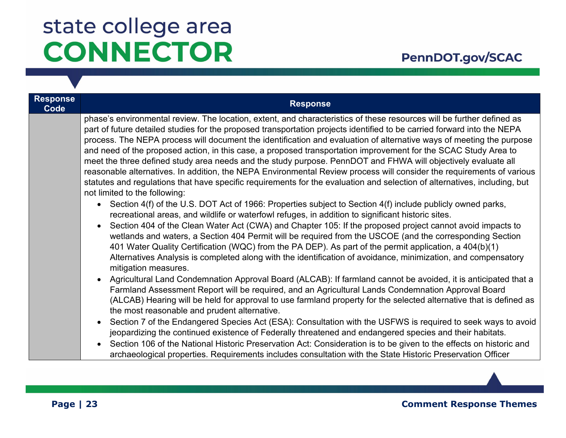| <b>Response</b><br>Code | <b>Response</b>                                                                                                                                                                                                                                                                                                                                                                                                                                                                                                                                                                                                                                                                                                                                                                                                                                                                                     |
|-------------------------|-----------------------------------------------------------------------------------------------------------------------------------------------------------------------------------------------------------------------------------------------------------------------------------------------------------------------------------------------------------------------------------------------------------------------------------------------------------------------------------------------------------------------------------------------------------------------------------------------------------------------------------------------------------------------------------------------------------------------------------------------------------------------------------------------------------------------------------------------------------------------------------------------------|
|                         | phase's environmental review. The location, extent, and characteristics of these resources will be further defined as<br>part of future detailed studies for the proposed transportation projects identified to be carried forward into the NEPA<br>process. The NEPA process will document the identification and evaluation of alternative ways of meeting the purpose<br>and need of the proposed action, in this case, a proposed transportation improvement for the SCAC Study Area to<br>meet the three defined study area needs and the study purpose. PennDOT and FHWA will objectively evaluate all<br>reasonable alternatives. In addition, the NEPA Environmental Review process will consider the requirements of various<br>statutes and regulations that have specific requirements for the evaluation and selection of alternatives, including, but<br>not limited to the following: |
|                         | Section 4(f) of the U.S. DOT Act of 1966: Properties subject to Section 4(f) include publicly owned parks,<br>recreational areas, and wildlife or waterfowl refuges, in addition to significant historic sites.<br>Section 404 of the Clean Water Act (CWA) and Chapter 105: If the proposed project cannot avoid impacts to<br>wetlands and waters, a Section 404 Permit will be required from the USCOE (and the corresponding Section<br>401 Water Quality Certification (WQC) from the PA DEP). As part of the permit application, a 404(b)(1)<br>Alternatives Analysis is completed along with the identification of avoidance, minimization, and compensatory<br>mitigation measures.                                                                                                                                                                                                         |
|                         | Agricultural Land Condemnation Approval Board (ALCAB): If farmland cannot be avoided, it is anticipated that a<br>Farmland Assessment Report will be required, and an Agricultural Lands Condemnation Approval Board<br>(ALCAB) Hearing will be held for approval to use farmland property for the selected alternative that is defined as<br>the most reasonable and prudent alternative.                                                                                                                                                                                                                                                                                                                                                                                                                                                                                                          |
|                         | Section 7 of the Endangered Species Act (ESA): Consultation with the USFWS is required to seek ways to avoid<br>jeopardizing the continued existence of Federally threatened and endangered species and their habitats.<br>Section 106 of the National Historic Preservation Act: Consideration is to be given to the effects on historic and<br>$\bullet$<br>archaeological properties. Requirements includes consultation with the State Historic Preservation Officer                                                                                                                                                                                                                                                                                                                                                                                                                            |

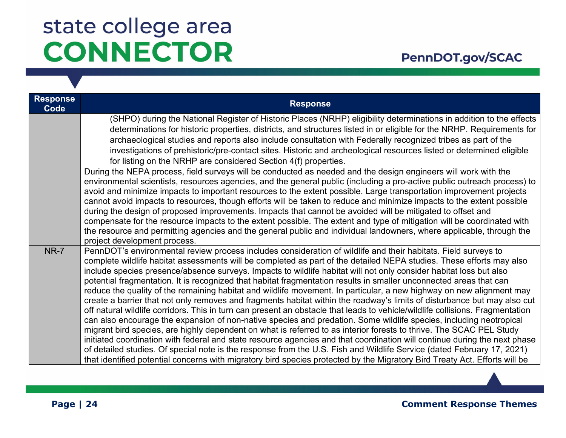### PennDOT.gov/SCAC

| <b>Response</b><br>Code | <b>Response</b>                                                                                                                                                                                                                                                                                                                                                                                                                                                                                                                                                                                                                                                                                                                                                                                                                                                                                                                                                                                                                                                                                                                                                                                                                                                                                                                                                                                                                                                                                           |
|-------------------------|-----------------------------------------------------------------------------------------------------------------------------------------------------------------------------------------------------------------------------------------------------------------------------------------------------------------------------------------------------------------------------------------------------------------------------------------------------------------------------------------------------------------------------------------------------------------------------------------------------------------------------------------------------------------------------------------------------------------------------------------------------------------------------------------------------------------------------------------------------------------------------------------------------------------------------------------------------------------------------------------------------------------------------------------------------------------------------------------------------------------------------------------------------------------------------------------------------------------------------------------------------------------------------------------------------------------------------------------------------------------------------------------------------------------------------------------------------------------------------------------------------------|
|                         | (SHPO) during the National Register of Historic Places (NRHP) eligibility determinations in addition to the effects<br>determinations for historic properties, districts, and structures listed in or eligible for the NRHP. Requirements for<br>archaeological studies and reports also include consultation with Federally recognized tribes as part of the<br>investigations of prehistoric/pre-contact sites. Historic and archeological resources listed or determined eligible<br>for listing on the NRHP are considered Section 4(f) properties.<br>During the NEPA process, field surveys will be conducted as needed and the design engineers will work with the<br>environmental scientists, resources agencies, and the general public (including a pro-active public outreach process) to<br>avoid and minimize impacts to important resources to the extent possible. Large transportation improvement projects<br>cannot avoid impacts to resources, though efforts will be taken to reduce and minimize impacts to the extent possible<br>during the design of proposed improvements. Impacts that cannot be avoided will be mitigated to offset and<br>compensate for the resource impacts to the extent possible. The extent and type of mitigation will be coordinated with<br>the resource and permitting agencies and the general public and individual landowners, where applicable, through the<br>project development process.                                                     |
| <b>NR-7</b>             | PennDOT's environmental review process includes consideration of wildlife and their habitats. Field surveys to<br>complete wildlife habitat assessments will be completed as part of the detailed NEPA studies. These efforts may also<br>include species presence/absence surveys. Impacts to wildlife habitat will not only consider habitat loss but also<br>potential fragmentation. It is recognized that habitat fragmentation results in smaller unconnected areas that can<br>reduce the quality of the remaining habitat and wildlife movement. In particular, a new highway on new alignment may<br>create a barrier that not only removes and fragments habitat within the roadway's limits of disturbance but may also cut<br>off natural wildlife corridors. This in turn can present an obstacle that leads to vehicle/wildlife collisions. Fragmentation<br>can also encourage the expansion of non-native species and predation. Some wildlife species, including neotropical<br>migrant bird species, are highly dependent on what is referred to as interior forests to thrive. The SCAC PEL Study<br>initiated coordination with federal and state resource agencies and that coordination will continue during the next phase<br>of detailed studies. Of special note is the response from the U.S. Fish and Wildlife Service (dated February 17, 2021)<br>that identified potential concerns with migratory bird species protected by the Migratory Bird Treaty Act. Efforts will be |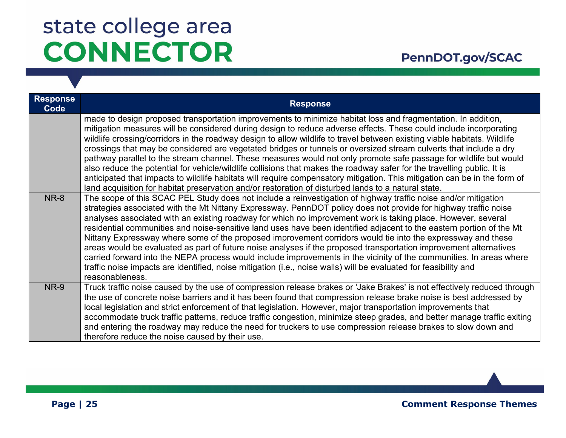| <b>Response</b><br>Code | <b>Response</b>                                                                                                                                                                                                                                                                                                                                                                                                                                                                                                                                                                                                                                                                                                                                                                                                                                                                                                                                                             |
|-------------------------|-----------------------------------------------------------------------------------------------------------------------------------------------------------------------------------------------------------------------------------------------------------------------------------------------------------------------------------------------------------------------------------------------------------------------------------------------------------------------------------------------------------------------------------------------------------------------------------------------------------------------------------------------------------------------------------------------------------------------------------------------------------------------------------------------------------------------------------------------------------------------------------------------------------------------------------------------------------------------------|
|                         | made to design proposed transportation improvements to minimize habitat loss and fragmentation. In addition,<br>mitigation measures will be considered during design to reduce adverse effects. These could include incorporating<br>wildlife crossing/corridors in the roadway design to allow wildlife to travel between existing viable habitats. Wildlife<br>crossings that may be considered are vegetated bridges or tunnels or oversized stream culverts that include a dry<br>pathway parallel to the stream channel. These measures would not only promote safe passage for wildlife but would<br>also reduce the potential for vehicle/wildlife collisions that makes the roadway safer for the travelling public. It is<br>anticipated that impacts to wildlife habitats will require compensatory mitigation. This mitigation can be in the form of<br>land acquisition for habitat preservation and/or restoration of disturbed lands to a natural state.      |
| <b>NR-8</b>             | The scope of this SCAC PEL Study does not include a reinvestigation of highway traffic noise and/or mitigation<br>strategies associated with the Mt Nittany Expressway. PennDOT policy does not provide for highway traffic noise<br>analyses associated with an existing roadway for which no improvement work is taking place. However, several<br>residential communities and noise-sensitive land uses have been identified adjacent to the eastern portion of the Mt<br>Nittany Expressway where some of the proposed improvement corridors would tie into the expressway and these<br>areas would be evaluated as part of future noise analyses if the proposed transportation improvement alternatives<br>carried forward into the NEPA process would include improvements in the vicinity of the communities. In areas where<br>traffic noise impacts are identified, noise mitigation (i.e., noise walls) will be evaluated for feasibility and<br>reasonableness. |
| <b>NR-9</b>             | Truck traffic noise caused by the use of compression release brakes or 'Jake Brakes' is not effectively reduced through<br>the use of concrete noise barriers and it has been found that compression release brake noise is best addressed by<br>local legislation and strict enforcement of that legislation. However, major transportation improvements that<br>accommodate truck traffic patterns, reduce traffic congestion, minimize steep grades, and better manage traffic exiting<br>and entering the roadway may reduce the need for truckers to use compression release brakes to slow down and<br>therefore reduce the noise caused by their use.                                                                                                                                                                                                                                                                                                                |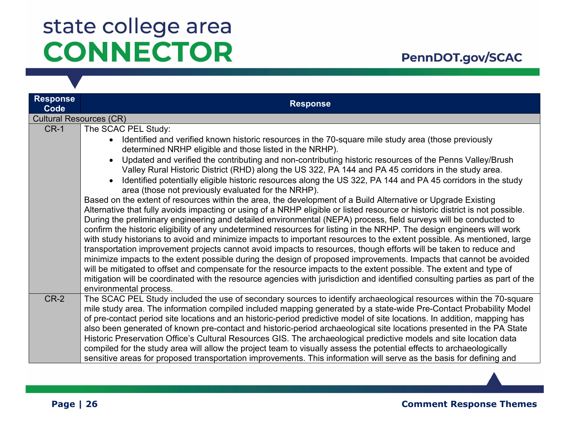### PennDOT.gov/SCAC

| <b>Response</b><br>Code        | <b>Response</b>                                                                                                                                                                                                                                                                                                                                                      |
|--------------------------------|----------------------------------------------------------------------------------------------------------------------------------------------------------------------------------------------------------------------------------------------------------------------------------------------------------------------------------------------------------------------|
| <b>Cultural Resources (CR)</b> |                                                                                                                                                                                                                                                                                                                                                                      |
| $CR-1$                         | The SCAC PEL Study:                                                                                                                                                                                                                                                                                                                                                  |
|                                | Identified and verified known historic resources in the 70-square mile study area (those previously<br>determined NRHP eligible and those listed in the NRHP).                                                                                                                                                                                                       |
|                                | Updated and verified the contributing and non-contributing historic resources of the Penns Valley/Brush<br>Valley Rural Historic District (RHD) along the US 322, PA 144 and PA 45 corridors in the study area.                                                                                                                                                      |
|                                | Identified potentially eligible historic resources along the US 322, PA 144 and PA 45 corridors in the study<br>area (those not previously evaluated for the NRHP).                                                                                                                                                                                                  |
|                                | Based on the extent of resources within the area, the development of a Build Alternative or Upgrade Existing<br>Alternative that fully avoids impacting or using of a NRHP eligible or listed resource or historic district is not possible.                                                                                                                         |
|                                | During the preliminary engineering and detailed environmental (NEPA) process, field surveys will be conducted to<br>confirm the historic eligibility of any undetermined resources for listing in the NRHP. The design engineers will work                                                                                                                           |
|                                | with study historians to avoid and minimize impacts to important resources to the extent possible. As mentioned, large<br>transportation improvement projects cannot avoid impacts to resources, though efforts will be taken to reduce and                                                                                                                          |
|                                | minimize impacts to the extent possible during the design of proposed improvements. Impacts that cannot be avoided<br>will be mitigated to offset and compensate for the resource impacts to the extent possible. The extent and type of                                                                                                                             |
|                                | mitigation will be coordinated with the resource agencies with jurisdiction and identified consulting parties as part of the<br>environmental process.                                                                                                                                                                                                               |
| $CR-2$                         | The SCAC PEL Study included the use of secondary sources to identify archaeological resources within the 70-square<br>mile study area. The information compiled included mapping generated by a state-wide Pre-Contact Probability Model<br>of pre-contact period site locations and an historic-period predictive model of site locations. In addition, mapping has |
|                                | also been generated of known pre-contact and historic-period archaeological site locations presented in the PA State                                                                                                                                                                                                                                                 |
|                                | Historic Preservation Office's Cultural Resources GIS. The archaeological predictive models and site location data<br>compiled for the study area will allow the project team to visually assess the potential effects to archaeologically                                                                                                                           |
|                                | sensitive areas for proposed transportation improvements. This information will serve as the basis for defining and                                                                                                                                                                                                                                                  |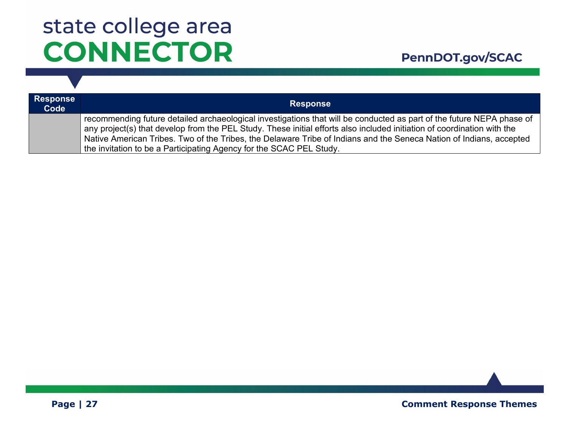| <b>Response</b><br>Code | <b>Response</b>                                                                                                                                                                                                                                  |
|-------------------------|--------------------------------------------------------------------------------------------------------------------------------------------------------------------------------------------------------------------------------------------------|
|                         | recommending future detailed archaeological investigations that will be conducted as part of the future NEPA phase of<br>any project(s) that develop from the PEL Study. These initial efforts also included initiation of coordination with the |
|                         | Native American Tribes. Two of the Tribes, the Delaware Tribe of Indians and the Seneca Nation of Indians, accepted<br>the invitation to be a Participating Agency for the SCAC PEL Study.                                                       |

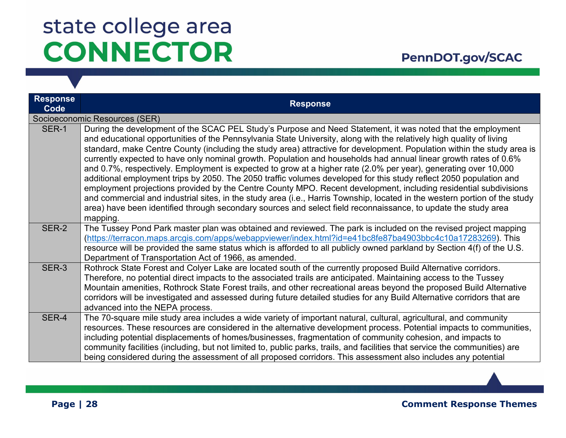### PennDOT.gov/SCAC

| <b>Response</b><br>Code | <b>Response</b>                                                                                                                                                                                                                                                                                                                                                                                                                                                                                                                                                                                                                                                                                                                                                                                                                                                                                                                                                                                                                                                                                             |
|-------------------------|-------------------------------------------------------------------------------------------------------------------------------------------------------------------------------------------------------------------------------------------------------------------------------------------------------------------------------------------------------------------------------------------------------------------------------------------------------------------------------------------------------------------------------------------------------------------------------------------------------------------------------------------------------------------------------------------------------------------------------------------------------------------------------------------------------------------------------------------------------------------------------------------------------------------------------------------------------------------------------------------------------------------------------------------------------------------------------------------------------------|
|                         | Socioeconomic Resources (SER)                                                                                                                                                                                                                                                                                                                                                                                                                                                                                                                                                                                                                                                                                                                                                                                                                                                                                                                                                                                                                                                                               |
| SER-1                   | During the development of the SCAC PEL Study's Purpose and Need Statement, it was noted that the employment<br>and educational opportunities of the Pennsylvania State University, along with the relatively high quality of living<br>standard, make Centre County (including the study area) attractive for development. Population within the study area is<br>currently expected to have only nominal growth. Population and households had annual linear growth rates of 0.6%<br>and 0.7%, respectively. Employment is expected to grow at a higher rate (2.0% per year), generating over 10,000<br>additional employment trips by 2050. The 2050 traffic volumes developed for this study reflect 2050 population and<br>employment projections provided by the Centre County MPO. Recent development, including residential subdivisions<br>and commercial and industrial sites, in the study area (i.e., Harris Township, located in the western portion of the study<br>area) have been identified through secondary sources and select field reconnaissance, to update the study area<br>mapping. |
| SER-2                   | The Tussey Pond Park master plan was obtained and reviewed. The park is included on the revised project mapping<br>(https://terracon.maps.arcgis.com/apps/webappviewer/index.html?id=e41bc8fe87ba4903bbc4c10a17283269). This<br>resource will be provided the same status which is afforded to all publicly owned parkland by Section 4(f) of the U.S.<br>Department of Transportation Act of 1966, as amended.                                                                                                                                                                                                                                                                                                                                                                                                                                                                                                                                                                                                                                                                                             |
| SER-3                   | Rothrock State Forest and Colyer Lake are located south of the currently proposed Build Alternative corridors.<br>Therefore, no potential direct impacts to the associated trails are anticipated. Maintaining access to the Tussey<br>Mountain amenities, Rothrock State Forest trails, and other recreational areas beyond the proposed Build Alternative<br>corridors will be investigated and assessed during future detailed studies for any Build Alternative corridors that are<br>advanced into the NEPA process.                                                                                                                                                                                                                                                                                                                                                                                                                                                                                                                                                                                   |
| SER-4                   | The 70-square mile study area includes a wide variety of important natural, cultural, agricultural, and community<br>resources. These resources are considered in the alternative development process. Potential impacts to communities,<br>including potential displacements of homes/businesses, fragmentation of community cohesion, and impacts to<br>community facilities (including, but not limited to, public parks, trails, and facilities that service the communities) are<br>being considered during the assessment of all proposed corridors. This assessment also includes any potential                                                                                                                                                                                                                                                                                                                                                                                                                                                                                                      |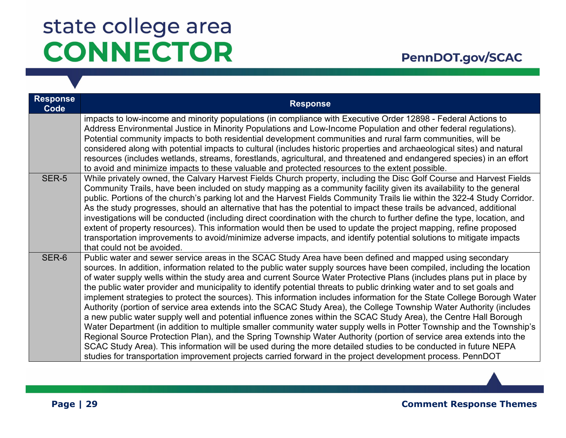| <b>Response</b><br>Code | <b>Response</b>                                                                                                                                                                                                                                                                                                                                                                                                                                                                                                                                                                                                                                                                                                                                                                                                                                                                                                                                                                                                                                                                                                                                                                                                                                                                                                                                 |
|-------------------------|-------------------------------------------------------------------------------------------------------------------------------------------------------------------------------------------------------------------------------------------------------------------------------------------------------------------------------------------------------------------------------------------------------------------------------------------------------------------------------------------------------------------------------------------------------------------------------------------------------------------------------------------------------------------------------------------------------------------------------------------------------------------------------------------------------------------------------------------------------------------------------------------------------------------------------------------------------------------------------------------------------------------------------------------------------------------------------------------------------------------------------------------------------------------------------------------------------------------------------------------------------------------------------------------------------------------------------------------------|
|                         | impacts to low-income and minority populations (in compliance with Executive Order 12898 - Federal Actions to<br>Address Environmental Justice in Minority Populations and Low-Income Population and other federal regulations).<br>Potential community impacts to both residential development communities and rural farm communities, will be<br>considered along with potential impacts to cultural (includes historic properties and archaeological sites) and natural<br>resources (includes wetlands, streams, forestlands, agricultural, and threatened and endangered species) in an effort<br>to avoid and minimize impacts to these valuable and protected resources to the extent possible.                                                                                                                                                                                                                                                                                                                                                                                                                                                                                                                                                                                                                                          |
| <b>SER-5</b>            | While privately owned, the Calvary Harvest Fields Church property, including the Disc Golf Course and Harvest Fields<br>Community Trails, have been included on study mapping as a community facility given its availability to the general<br>public. Portions of the church's parking lot and the Harvest Fields Community Trails lie within the 322-4 Study Corridor.<br>As the study progresses, should an alternative that has the potential to impact these trails be advanced, additional<br>investigations will be conducted (including direct coordination with the church to further define the type, location, and<br>extent of property resources). This information would then be used to update the project mapping, refine proposed<br>transportation improvements to avoid/minimize adverse impacts, and identify potential solutions to mitigate impacts<br>that could not be avoided.                                                                                                                                                                                                                                                                                                                                                                                                                                         |
| SER-6                   | Public water and sewer service areas in the SCAC Study Area have been defined and mapped using secondary<br>sources. In addition, information related to the public water supply sources have been compiled, including the location<br>of water supply wells within the study area and current Source Water Protective Plans (includes plans put in place by<br>the public water provider and municipality to identify potential threats to public drinking water and to set goals and<br>implement strategies to protect the sources). This information includes information for the State College Borough Water<br>Authority (portion of service area extends into the SCAC Study Area), the College Township Water Authority (includes<br>a new public water supply well and potential influence zones within the SCAC Study Area), the Centre Hall Borough<br>Water Department (in addition to multiple smaller community water supply wells in Potter Township and the Township's<br>Regional Source Protection Plan), and the Spring Township Water Authority (portion of service area extends into the<br>SCAC Study Area). This information will be used during the more detailed studies to be conducted in future NEPA<br>studies for transportation improvement projects carried forward in the project development process. PennDOT |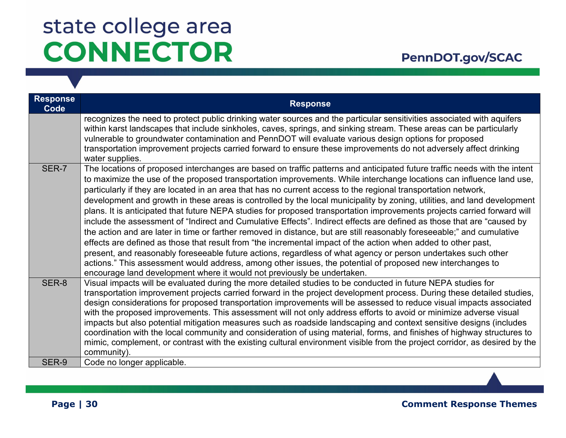| <b>Response</b><br>Code | <b>Response</b>                                                                                                                                                                                                                                                                                                                                                                                                                                                                                                                                                                                                                                                                                                                                                                                                                                                                                                                                                                                                                                                                                                                                                                                                                                                                                            |
|-------------------------|------------------------------------------------------------------------------------------------------------------------------------------------------------------------------------------------------------------------------------------------------------------------------------------------------------------------------------------------------------------------------------------------------------------------------------------------------------------------------------------------------------------------------------------------------------------------------------------------------------------------------------------------------------------------------------------------------------------------------------------------------------------------------------------------------------------------------------------------------------------------------------------------------------------------------------------------------------------------------------------------------------------------------------------------------------------------------------------------------------------------------------------------------------------------------------------------------------------------------------------------------------------------------------------------------------|
|                         | recognizes the need to protect public drinking water sources and the particular sensitivities associated with aquifers<br>within karst landscapes that include sinkholes, caves, springs, and sinking stream. These areas can be particularly<br>vulnerable to groundwater contamination and PennDOT will evaluate various design options for proposed<br>transportation improvement projects carried forward to ensure these improvements do not adversely affect drinking<br>water supplies.                                                                                                                                                                                                                                                                                                                                                                                                                                                                                                                                                                                                                                                                                                                                                                                                             |
| SER-7                   | The locations of proposed interchanges are based on traffic patterns and anticipated future traffic needs with the intent<br>to maximize the use of the proposed transportation improvements. While interchange locations can influence land use,<br>particularly if they are located in an area that has no current access to the regional transportation network,<br>development and growth in these areas is controlled by the local municipality by zoning, utilities, and land development<br>plans. It is anticipated that future NEPA studies for proposed transportation improvements projects carried forward will<br>include the assessment of "Indirect and Cumulative Effects". Indirect effects are defined as those that are "caused by<br>the action and are later in time or farther removed in distance, but are still reasonably foreseeable;" and cumulative<br>effects are defined as those that result from "the incremental impact of the action when added to other past,<br>present, and reasonably foreseeable future actions, regardless of what agency or person undertakes such other<br>actions." This assessment would address, among other issues, the potential of proposed new interchanges to<br>encourage land development where it would not previously be undertaken. |
| SER-8                   | Visual impacts will be evaluated during the more detailed studies to be conducted in future NEPA studies for<br>transportation improvement projects carried forward in the project development process. During these detailed studies,<br>design considerations for proposed transportation improvements will be assessed to reduce visual impacts associated<br>with the proposed improvements. This assessment will not only address efforts to avoid or minimize adverse visual<br>impacts but also potential mitigation measures such as roadside landscaping and context sensitive designs (includes<br>coordination with the local community and consideration of using material, forms, and finishes of highway structures to<br>mimic, complement, or contrast with the existing cultural environment visible from the project corridor, as desired by the<br>community).                                                                                                                                                                                                                                                                                                                                                                                                                          |
| SER-9                   | Code no longer applicable.                                                                                                                                                                                                                                                                                                                                                                                                                                                                                                                                                                                                                                                                                                                                                                                                                                                                                                                                                                                                                                                                                                                                                                                                                                                                                 |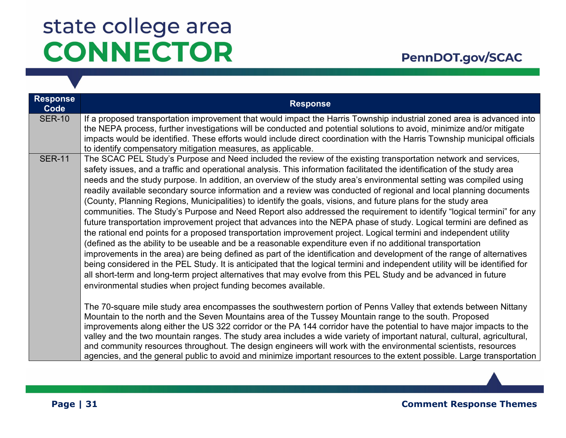### PennDOT.gov/SCAC

| <b>Response</b><br>Code | <b>Response</b>                                                                                                                                                                                                                                                                                                                                                                                                                                                                                                                                                                                                                                                                                                                                                                                                                                                                                                                                                                                                                                                                                                                                                                                                                                                                                                                                                                                                                                                                                                                                                                                                                                                                                                                                                                                                                                                                                                                                                                                                                                                                                                                                 |
|-------------------------|-------------------------------------------------------------------------------------------------------------------------------------------------------------------------------------------------------------------------------------------------------------------------------------------------------------------------------------------------------------------------------------------------------------------------------------------------------------------------------------------------------------------------------------------------------------------------------------------------------------------------------------------------------------------------------------------------------------------------------------------------------------------------------------------------------------------------------------------------------------------------------------------------------------------------------------------------------------------------------------------------------------------------------------------------------------------------------------------------------------------------------------------------------------------------------------------------------------------------------------------------------------------------------------------------------------------------------------------------------------------------------------------------------------------------------------------------------------------------------------------------------------------------------------------------------------------------------------------------------------------------------------------------------------------------------------------------------------------------------------------------------------------------------------------------------------------------------------------------------------------------------------------------------------------------------------------------------------------------------------------------------------------------------------------------------------------------------------------------------------------------------------------------|
| <b>SER-10</b>           | If a proposed transportation improvement that would impact the Harris Township industrial zoned area is advanced into<br>the NEPA process, further investigations will be conducted and potential solutions to avoid, minimize and/or mitigate<br>impacts would be identified. These efforts would include direct coordination with the Harris Township municipal officials<br>to identify compensatory mitigation measures, as applicable.                                                                                                                                                                                                                                                                                                                                                                                                                                                                                                                                                                                                                                                                                                                                                                                                                                                                                                                                                                                                                                                                                                                                                                                                                                                                                                                                                                                                                                                                                                                                                                                                                                                                                                     |
| <b>SER-11</b>           | The SCAC PEL Study's Purpose and Need included the review of the existing transportation network and services,<br>safety issues, and a traffic and operational analysis. This information facilitated the identification of the study area<br>needs and the study purpose. In addition, an overview of the study area's environmental setting was compiled using<br>readily available secondary source information and a review was conducted of regional and local planning documents<br>(County, Planning Regions, Municipalities) to identify the goals, visions, and future plans for the study area<br>communities. The Study's Purpose and Need Report also addressed the requirement to identify "logical termini" for any<br>future transportation improvement project that advances into the NEPA phase of study. Logical termini are defined as<br>the rational end points for a proposed transportation improvement project. Logical termini and independent utility<br>(defined as the ability to be useable and be a reasonable expenditure even if no additional transportation<br>improvements in the area) are being defined as part of the identification and development of the range of alternatives<br>being considered in the PEL Study. It is anticipated that the logical termini and independent utility will be identified for<br>all short-term and long-term project alternatives that may evolve from this PEL Study and be advanced in future<br>environmental studies when project funding becomes available.<br>The 70-square mile study area encompasses the southwestern portion of Penns Valley that extends between Nittany<br>Mountain to the north and the Seven Mountains area of the Tussey Mountain range to the south. Proposed<br>improvements along either the US 322 corridor or the PA 144 corridor have the potential to have major impacts to the<br>valley and the two mountain ranges. The study area includes a wide variety of important natural, cultural, agricultural,<br>and community resources throughout. The design engineers will work with the environmental scientists, resources |
|                         | agencies, and the general public to avoid and minimize important resources to the extent possible. Large transportation                                                                                                                                                                                                                                                                                                                                                                                                                                                                                                                                                                                                                                                                                                                                                                                                                                                                                                                                                                                                                                                                                                                                                                                                                                                                                                                                                                                                                                                                                                                                                                                                                                                                                                                                                                                                                                                                                                                                                                                                                         |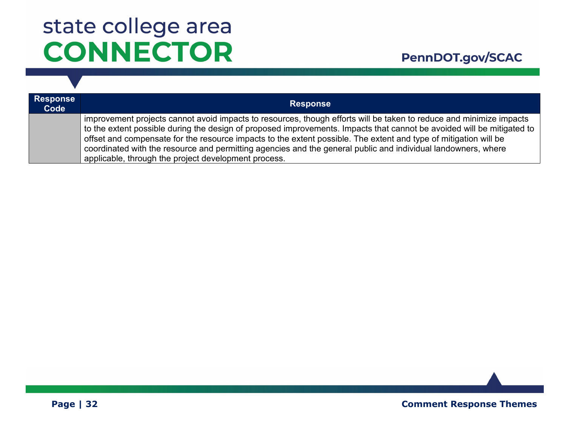| <b>Response</b><br>Code | <b>Response</b>                                                                                                                                                                                                                               |
|-------------------------|-----------------------------------------------------------------------------------------------------------------------------------------------------------------------------------------------------------------------------------------------|
|                         | improvement projects cannot avoid impacts to resources, though efforts will be taken to reduce and minimize impacts<br>to the extent possible during the design of proposed improvements. Impacts that cannot be avoided will be mitigated to |
|                         | offset and compensate for the resource impacts to the extent possible. The extent and type of mitigation will be<br>coordinated with the resource and permitting agencies and the general public and individual landowners, where             |
|                         | applicable, through the project development process.                                                                                                                                                                                          |

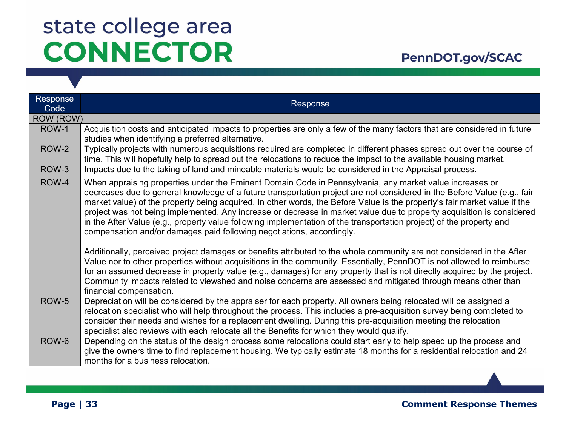| <b>Response</b><br>Code | Response                                                                                                                                                                                                                                                                                                                                                                                                                                                                                                                                                                                                                                                                                                                                                                                                                                                                                                                                                                                                                                                                                                                                                                                                            |
|-------------------------|---------------------------------------------------------------------------------------------------------------------------------------------------------------------------------------------------------------------------------------------------------------------------------------------------------------------------------------------------------------------------------------------------------------------------------------------------------------------------------------------------------------------------------------------------------------------------------------------------------------------------------------------------------------------------------------------------------------------------------------------------------------------------------------------------------------------------------------------------------------------------------------------------------------------------------------------------------------------------------------------------------------------------------------------------------------------------------------------------------------------------------------------------------------------------------------------------------------------|
| ROW (ROW)               |                                                                                                                                                                                                                                                                                                                                                                                                                                                                                                                                                                                                                                                                                                                                                                                                                                                                                                                                                                                                                                                                                                                                                                                                                     |
| ROW-1                   | Acquisition costs and anticipated impacts to properties are only a few of the many factors that are considered in future<br>studies when identifying a preferred alternative.                                                                                                                                                                                                                                                                                                                                                                                                                                                                                                                                                                                                                                                                                                                                                                                                                                                                                                                                                                                                                                       |
| ROW-2                   | Typically projects with numerous acquisitions required are completed in different phases spread out over the course of<br>time. This will hopefully help to spread out the relocations to reduce the impact to the available housing market.                                                                                                                                                                                                                                                                                                                                                                                                                                                                                                                                                                                                                                                                                                                                                                                                                                                                                                                                                                        |
| ROW-3                   | Impacts due to the taking of land and mineable materials would be considered in the Appraisal process.                                                                                                                                                                                                                                                                                                                                                                                                                                                                                                                                                                                                                                                                                                                                                                                                                                                                                                                                                                                                                                                                                                              |
| ROW-4                   | When appraising properties under the Eminent Domain Code in Pennsylvania, any market value increases or<br>decreases due to general knowledge of a future transportation project are not considered in the Before Value (e.g., fair<br>market value) of the property being acquired. In other words, the Before Value is the property's fair market value if the<br>project was not being implemented. Any increase or decrease in market value due to property acquisition is considered<br>in the After Value (e.g., property value following implementation of the transportation project) of the property and<br>compensation and/or damages paid following negotiations, accordingly.<br>Additionally, perceived project damages or benefits attributed to the whole community are not considered in the After<br>Value nor to other properties without acquisitions in the community. Essentially, PennDOT is not allowed to reimburse<br>for an assumed decrease in property value (e.g., damages) for any property that is not directly acquired by the project.<br>Community impacts related to viewshed and noise concerns are assessed and mitigated through means other than<br>financial compensation. |
| ROW-5                   | Depreciation will be considered by the appraiser for each property. All owners being relocated will be assigned a<br>relocation specialist who will help throughout the process. This includes a pre-acquisition survey being completed to<br>consider their needs and wishes for a replacement dwelling. During this pre-acquisition meeting the relocation<br>specialist also reviews with each relocate all the Benefits for which they would qualify.                                                                                                                                                                                                                                                                                                                                                                                                                                                                                                                                                                                                                                                                                                                                                           |
| ROW-6                   | Depending on the status of the design process some relocations could start early to help speed up the process and<br>give the owners time to find replacement housing. We typically estimate 18 months for a residential relocation and 24<br>months for a business relocation.                                                                                                                                                                                                                                                                                                                                                                                                                                                                                                                                                                                                                                                                                                                                                                                                                                                                                                                                     |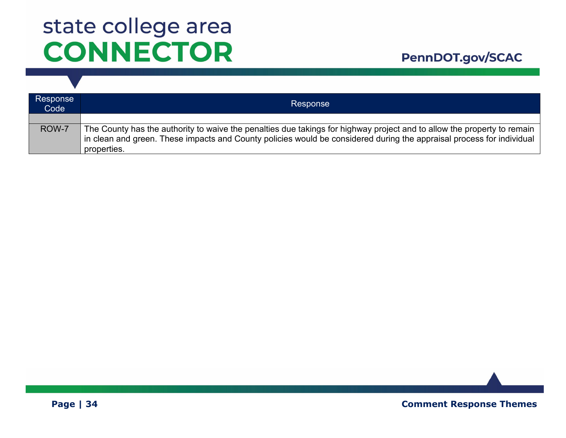#### PennDOT.gov/SCAC

| Response<br>Code | Response                                                                                                                                                                                                                                                        |
|------------------|-----------------------------------------------------------------------------------------------------------------------------------------------------------------------------------------------------------------------------------------------------------------|
|                  |                                                                                                                                                                                                                                                                 |
| ROW-7            | The County has the authority to waive the penalties due takings for highway project and to allow the property to remain<br>in clean and green. These impacts and County policies would be considered during the appraisal process for individual<br>properties. |